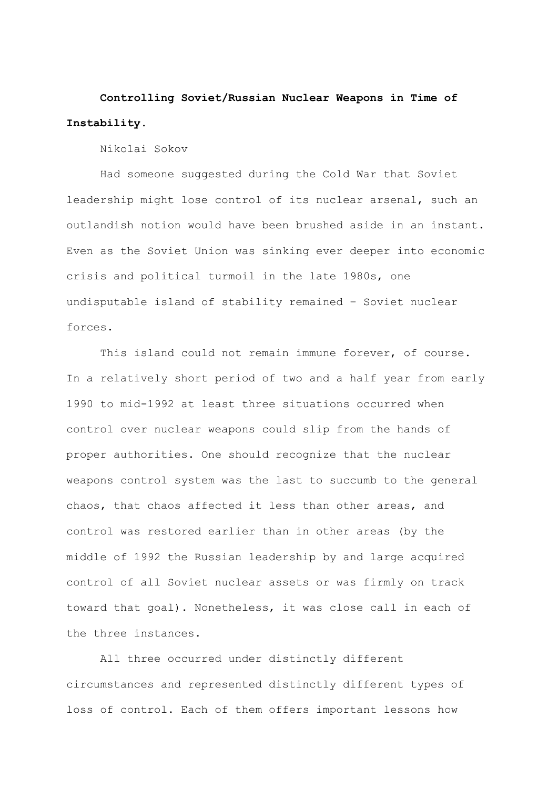**Controlling Soviet/Russian Nuclear Weapons in Time of Instability.** 

Nikolai Sokov

Had someone suggested during the Cold War that Soviet leadership might lose control of its nuclear arsenal, such an outlandish notion would have been brushed aside in an instant. Even as the Soviet Union was sinking ever deeper into economic crisis and political turmoil in the late 1980s, one undisputable island of stability remained – Soviet nuclear forces.

This island could not remain immune forever, of course. In a relatively short period of two and a half year from early 1990 to mid-1992 at least three situations occurred when control over nuclear weapons could slip from the hands of proper authorities. One should recognize that the nuclear weapons control system was the last to succumb to the general chaos, that chaos affected it less than other areas, and control was restored earlier than in other areas (by the middle of 1992 the Russian leadership by and large acquired control of all Soviet nuclear assets or was firmly on track toward that goal). Nonetheless, it was close call in each of the three instances.

All three occurred under distinctly different circumstances and represented distinctly different types of loss of control. Each of them offers important lessons how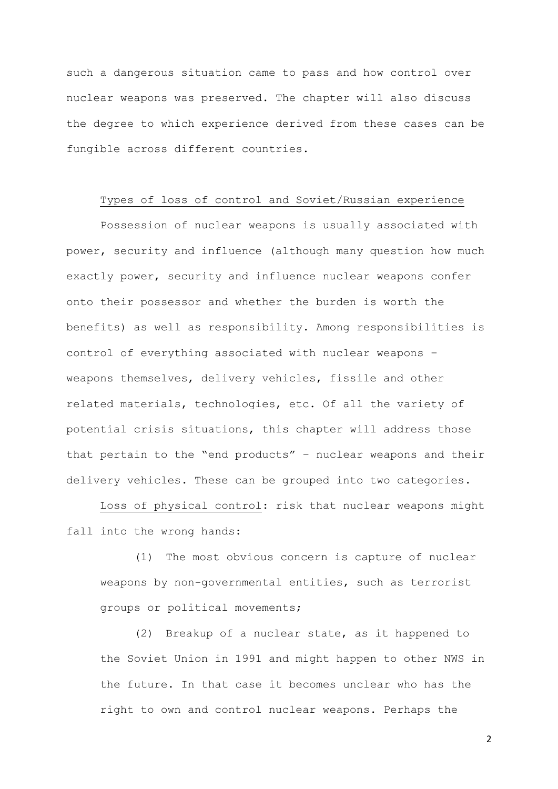such a dangerous situation came to pass and how control over nuclear weapons was preserved. The chapter will also discuss the degree to which experience derived from these cases can be fungible across different countries.

#### Types of loss of control and Soviet/Russian experience

Possession of nuclear weapons is usually associated with power, security and influence (although many question how much exactly power, security and influence nuclear weapons confer onto their possessor and whether the burden is worth the benefits) as well as responsibility. Among responsibilities is control of everything associated with nuclear weapons – weapons themselves, delivery vehicles, fissile and other related materials, technologies, etc. Of all the variety of potential crisis situations, this chapter will address those that pertain to the "end products" – nuclear weapons and their delivery vehicles. These can be grouped into two categories.

Loss of physical control: risk that nuclear weapons might fall into the wrong hands:

(1) The most obvious concern is capture of nuclear weapons by non-governmental entities, such as terrorist groups or political movements;

(2) Breakup of a nuclear state, as it happened to the Soviet Union in 1991 and might happen to other NWS in the future. In that case it becomes unclear who has the right to own and control nuclear weapons. Perhaps the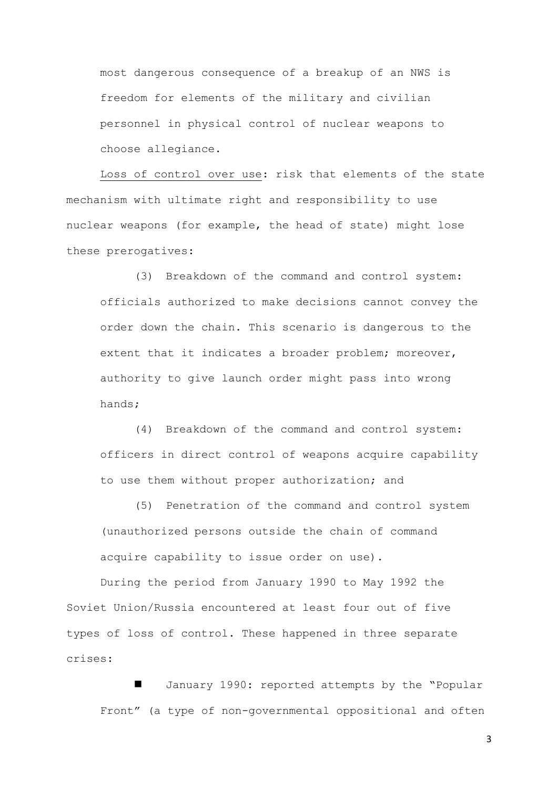most dangerous consequence of a breakup of an NWS is freedom for elements of the military and civilian personnel in physical control of nuclear weapons to choose allegiance.

Loss of control over use: risk that elements of the state mechanism with ultimate right and responsibility to use nuclear weapons (for example, the head of state) might lose these prerogatives:

(3) Breakdown of the command and control system: officials authorized to make decisions cannot convey the order down the chain. This scenario is dangerous to the extent that it indicates a broader problem; moreover, authority to give launch order might pass into wrong hands;

(4) Breakdown of the command and control system: officers in direct control of weapons acquire capability to use them without proper authorization; and

(5) Penetration of the command and control system (unauthorized persons outside the chain of command acquire capability to issue order on use).

During the period from January 1990 to May 1992 the Soviet Union/Russia encountered at least four out of five types of loss of control. These happened in three separate crises:

 January 1990: reported attempts by the "Popular Front" (a type of non-governmental oppositional and often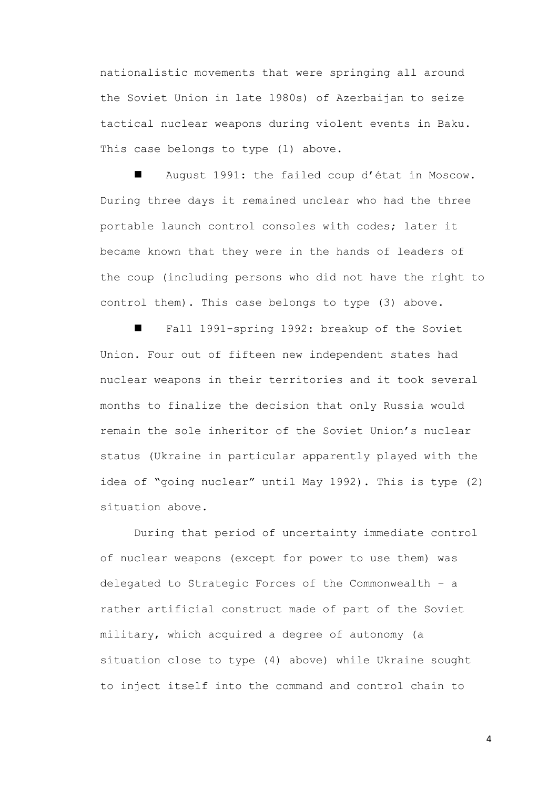nationalistic movements that were springing all around the Soviet Union in late 1980s) of Azerbaijan to seize tactical nuclear weapons during violent events in Baku. This case belongs to type (1) above.

 August 1991: the failed coup d'état in Moscow. During three days it remained unclear who had the three portable launch control consoles with codes; later it became known that they were in the hands of leaders of the coup (including persons who did not have the right to control them). This case belongs to type (3) above.

 Fall 1991-spring 1992: breakup of the Soviet Union. Four out of fifteen new independent states had nuclear weapons in their territories and it took several months to finalize the decision that only Russia would remain the sole inheritor of the Soviet Union's nuclear status (Ukraine in particular apparently played with the idea of "going nuclear" until May 1992). This is type (2) situation above.

During that period of uncertainty immediate control of nuclear weapons (except for power to use them) was delegated to Strategic Forces of the Commonwealth – a rather artificial construct made of part of the Soviet military, which acquired a degree of autonomy (a situation close to type (4) above) while Ukraine sought to inject itself into the command and control chain to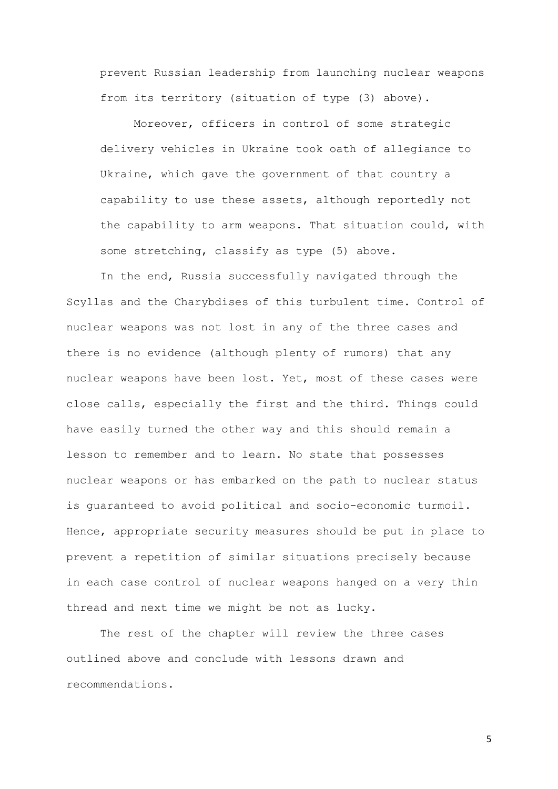prevent Russian leadership from launching nuclear weapons from its territory (situation of type (3) above).

Moreover, officers in control of some strategic delivery vehicles in Ukraine took oath of allegiance to Ukraine, which gave the government of that country a capability to use these assets, although reportedly not the capability to arm weapons. That situation could, with some stretching, classify as type (5) above.

In the end, Russia successfully navigated through the Scyllas and the Charybdises of this turbulent time. Control of nuclear weapons was not lost in any of the three cases and there is no evidence (although plenty of rumors) that any nuclear weapons have been lost. Yet, most of these cases were close calls, especially the first and the third. Things could have easily turned the other way and this should remain a lesson to remember and to learn. No state that possesses nuclear weapons or has embarked on the path to nuclear status is guaranteed to avoid political and socio-economic turmoil. Hence, appropriate security measures should be put in place to prevent a repetition of similar situations precisely because in each case control of nuclear weapons hanged on a very thin thread and next time we might be not as lucky.

The rest of the chapter will review the three cases outlined above and conclude with lessons drawn and recommendations.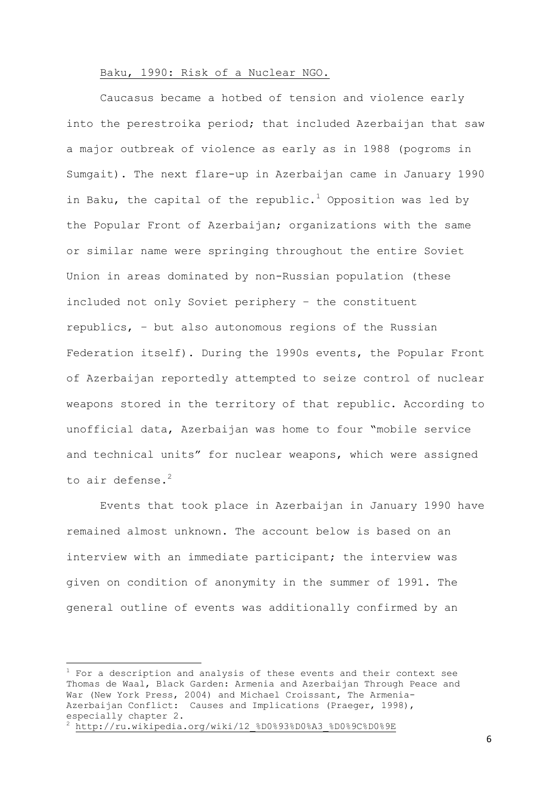## Baku, 1990: Risk of a Nuclear NGO.

Caucasus became a hotbed of tension and violence early into the perestroika period; that included Azerbaijan that saw a major outbreak of violence as early as in 1988 (pogroms in Sumgait). The next flare-up in Azerbaijan came in January 1990 in Baku, the capital of the republic.<sup>1</sup> Opposition was led by the Popular Front of Azerbaijan; organizations with the same or similar name were springing throughout the entire Soviet Union in areas dominated by non-Russian population (these included not only Soviet periphery – the constituent republics, – but also autonomous regions of the Russian Federation itself). During the 1990s events, the Popular Front of Azerbaijan reportedly attempted to seize control of nuclear weapons stored in the territory of that republic. According to unofficial data, Azerbaijan was home to four "mobile service and technical units" for nuclear weapons, which were assigned to air defense. $^{2}$ 

Events that took place in Azerbaijan in January 1990 have remained almost unknown. The account below is based on an interview with an immediate participant; the interview was given on condition of anonymity in the summer of 1991. The general outline of events was additionally confirmed by an

**.** 

 $^1$  For a description and analysis of these events and their context see Thomas de Waal, Black Garden: Armenia and Azerbaijan Through Peace and War (New York Press, 2004) and Michael Croissant, The Armenia-Azerbaijan Conflict: Causes and Implications (Praeger, 1998), especially chapter 2.

http://ru.wikipedia.org/wiki/12 %D0%93%D0%A3 %D0%9C%D0%9E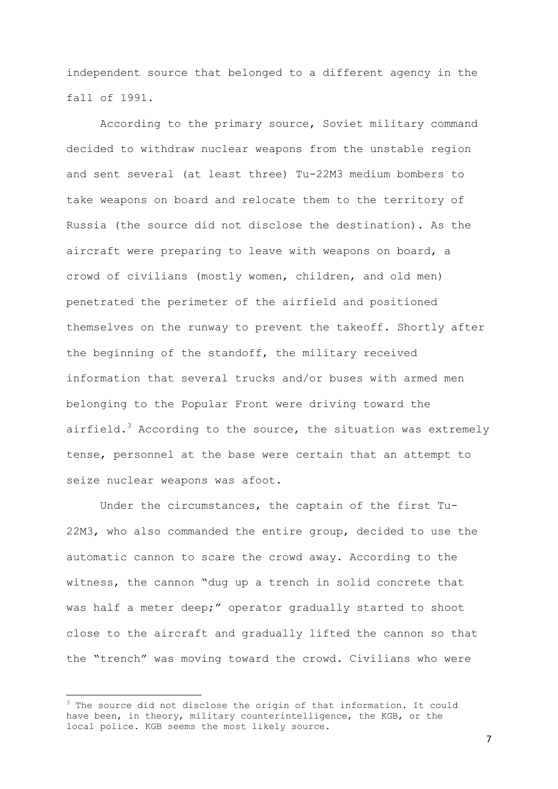independent source that belonged to a different agency in the fall of 1991.

According to the primary source, Soviet military command decided to withdraw nuclear weapons from the unstable region and sent several (at least three) Tu-22M3 medium bombers to take weapons on board and relocate them to the territory of Russia (the source did not disclose the destination). As the aircraft were preparing to leave with weapons on board, a crowd of civilians (mostly women, children, and old men) penetrated the perimeter of the airfield and positioned themselves on the runway to prevent the takeoff. Shortly after the beginning of the standoff, the military received information that several trucks and/or buses with armed men belonging to the Popular Front were driving toward the airfield.<sup>3</sup> According to the source, the situation was extremely tense, personnel at the base were certain that an attempt to seize nuclear weapons was afoot.

Under the circumstances, the captain of the first Tu-22M3, who also commanded the entire group, decided to use the automatic cannon to scare the crowd away. According to the witness, the cannon "dug up a trench in solid concrete that was half a meter deep;" operator gradually started to shoot close to the aircraft and gradually lifted the cannon so that the "trench" was moving toward the crowd. Civilians who were

**.** 

 $3$  The source did not disclose the origin of that information. It could have been, in theory, military counterintelligence, the KGB, or the local police. KGB seems the most likely source.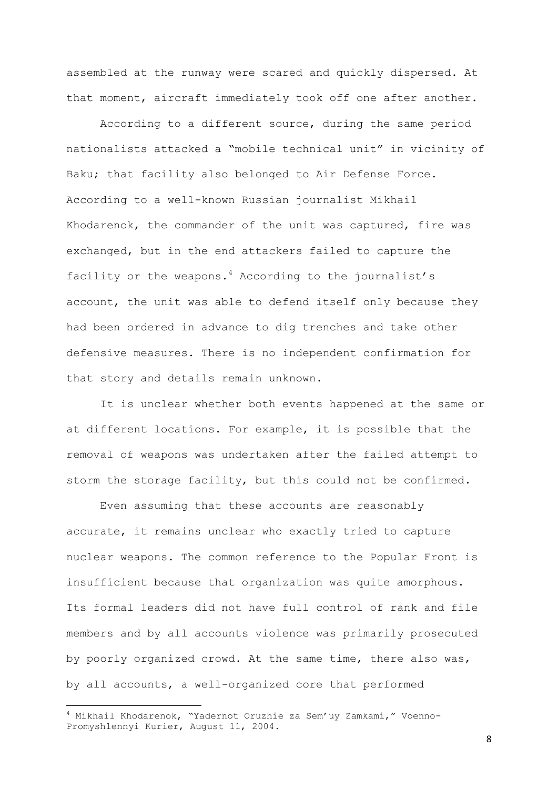assembled at the runway were scared and quickly dispersed. At that moment, aircraft immediately took off one after another.

According to a different source, during the same period nationalists attacked a "mobile technical unit" in vicinity of Baku; that facility also belonged to Air Defense Force. According to a well-known Russian journalist Mikhail Khodarenok, the commander of the unit was captured, fire was exchanged, but in the end attackers failed to capture the facility or the weapons.<sup>4</sup> According to the journalist's account, the unit was able to defend itself only because they had been ordered in advance to dig trenches and take other defensive measures. There is no independent confirmation for that story and details remain unknown.

It is unclear whether both events happened at the same or at different locations. For example, it is possible that the removal of weapons was undertaken after the failed attempt to storm the storage facility, but this could not be confirmed.

Even assuming that these accounts are reasonably accurate, it remains unclear who exactly tried to capture nuclear weapons. The common reference to the Popular Front is insufficient because that organization was quite amorphous. Its formal leaders did not have full control of rank and file members and by all accounts violence was primarily prosecuted by poorly organized crowd. At the same time, there also was, by all accounts, a well-organized core that performed

**.** 

 $^4$  Mikhail Khodarenok, "Yadernot Oruzhie za Sem'uy Zamkami," Voenno-Promyshlennyi Kurier, August 11, 2004.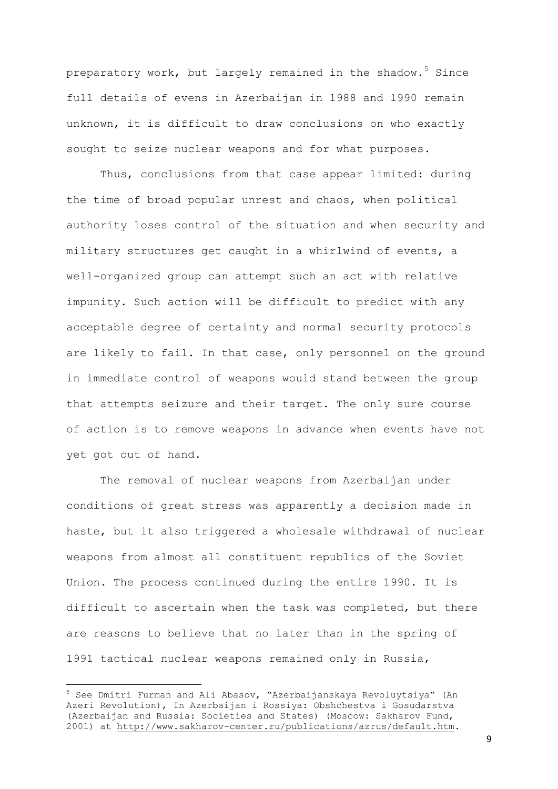preparatory work, but largely remained in the shadow.<sup>5</sup> Since full details of evens in Azerbaijan in 1988 and 1990 remain unknown, it is difficult to draw conclusions on who exactly sought to seize nuclear weapons and for what purposes.

Thus, conclusions from that case appear limited: during the time of broad popular unrest and chaos, when political authority loses control of the situation and when security and military structures get caught in a whirlwind of events, a well-organized group can attempt such an act with relative impunity. Such action will be difficult to predict with any acceptable degree of certainty and normal security protocols are likely to fail. In that case, only personnel on the ground in immediate control of weapons would stand between the group that attempts seizure and their target. The only sure course of action is to remove weapons in advance when events have not yet got out of hand.

The removal of nuclear weapons from Azerbaijan under conditions of great stress was apparently a decision made in haste, but it also triggered a wholesale withdrawal of nuclear weapons from almost all constituent republics of the Soviet Union. The process continued during the entire 1990. It is difficult to ascertain when the task was completed, but there are reasons to believe that no later than in the spring of 1991 tactical nuclear weapons remained only in Russia,

-

<sup>&</sup>lt;sup>5</sup> See Dmitri Furman and Ali Abasov, "Azerbaijanskaya Revoluytsiya" (An Azeri Revolution), In Azerbaijan i Rossiya: Obshchestva i Gosudarstva (Azerbaijan and Russia: Societies and States) (Moscow: Sakharov Fund, 2001) at [http://www.sakharov-center.ru/publications/azrus/default.htm.](http://www.sakharov-center.ru/publications/azrus/default.htm)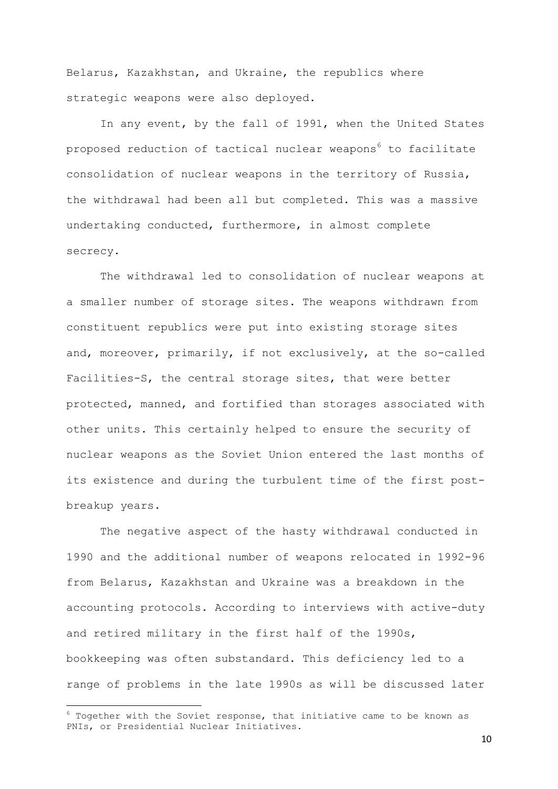Belarus, Kazakhstan, and Ukraine, the republics where strategic weapons were also deployed.

In any event, by the fall of 1991, when the United States proposed reduction of tactical nuclear weapons<sup>6</sup> to facilitate consolidation of nuclear weapons in the territory of Russia, the withdrawal had been all but completed. This was a massive undertaking conducted, furthermore, in almost complete secrecy.

The withdrawal led to consolidation of nuclear weapons at a smaller number of storage sites. The weapons withdrawn from constituent republics were put into existing storage sites and, moreover, primarily, if not exclusively, at the so-called Facilities-S, the central storage sites, that were better protected, manned, and fortified than storages associated with other units. This certainly helped to ensure the security of nuclear weapons as the Soviet Union entered the last months of its existence and during the turbulent time of the first postbreakup years.

The negative aspect of the hasty withdrawal conducted in 1990 and the additional number of weapons relocated in 1992-96 from Belarus, Kazakhstan and Ukraine was a breakdown in the accounting protocols. According to interviews with active-duty and retired military in the first half of the 1990s, bookkeeping was often substandard. This deficiency led to a range of problems in the late 1990s as will be discussed later

**.** 

 $^6$  Together with the Soviet response, that initiative came to be known as PNIs, or Presidential Nuclear Initiatives.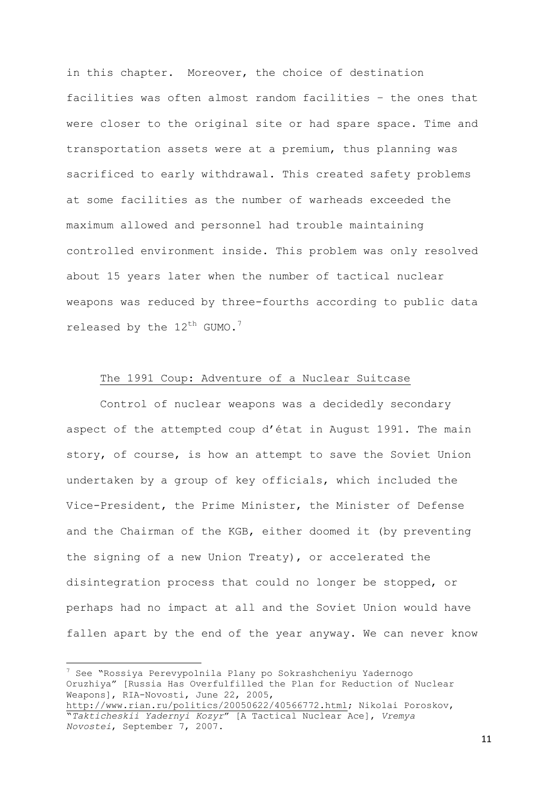in this chapter. Moreover, the choice of destination facilities was often almost random facilities – the ones that were closer to the original site or had spare space. Time and transportation assets were at a premium, thus planning was sacrificed to early withdrawal. This created safety problems at some facilities as the number of warheads exceeded the maximum allowed and personnel had trouble maintaining controlled environment inside. This problem was only resolved about 15 years later when the number of tactical nuclear weapons was reduced by three-fourths according to public data released by the  $12^{th}$  GUMO.<sup>7</sup>

# The 1991 Coup: Adventure of a Nuclear Suitcase

Control of nuclear weapons was a decidedly secondary aspect of the attempted coup d'état in August 1991. The main story, of course, is how an attempt to save the Soviet Union undertaken by a group of key officials, which included the Vice-President, the Prime Minister, the Minister of Defense and the Chairman of the KGB, either doomed it (by preventing the signing of a new Union Treaty), or accelerated the disintegration process that could no longer be stopped, or perhaps had no impact at all and the Soviet Union would have fallen apart by the end of the year anyway. We can never know

**.** 

<sup>7</sup> See "Rossiya Perevypolnila Plany po Sokrashcheniyu Yadernogo Oruzhiya" [Russia Has Overfulfilled the Plan for Reduction of Nuclear Weapons], RIA-Novosti, June 22, 2005, [http://www.rian.ru/politics/20050622/40566772.html;](http://www.rian.ru/politics/20050622/40566772.html) Nikolai Poroskov,

<sup>&</sup>quot;*Takticheskii Yadernyi Kozyr*" [A Tactical Nuclear Ace], *Vremya Novostei*, September 7, 2007.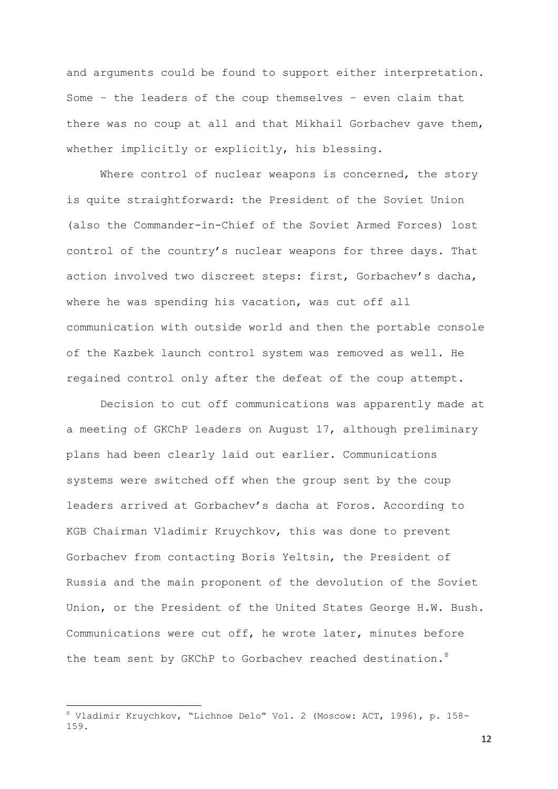and arguments could be found to support either interpretation. Some – the leaders of the coup themselves – even claim that there was no coup at all and that Mikhail Gorbachev gave them, whether implicitly or explicitly, his blessing.

Where control of nuclear weapons is concerned, the story is quite straightforward: the President of the Soviet Union (also the Commander-in-Chief of the Soviet Armed Forces) lost control of the country's nuclear weapons for three days. That action involved two discreet steps: first, Gorbachev's dacha, where he was spending his vacation, was cut off all communication with outside world and then the portable console of the Kazbek launch control system was removed as well. He regained control only after the defeat of the coup attempt.

Decision to cut off communications was apparently made at a meeting of GKChP leaders on August 17, although preliminary plans had been clearly laid out earlier. Communications systems were switched off when the group sent by the coup leaders arrived at Gorbachev's dacha at Foros. According to KGB Chairman Vladimir Kruychkov, this was done to prevent Gorbachev from contacting Boris Yeltsin, the President of Russia and the main proponent of the devolution of the Soviet Union, or the President of the United States George H.W. Bush. Communications were cut off, he wrote later, minutes before the team sent by GKChP to Gorbachev reached destination.<sup>8</sup>

**.** 

<sup>8</sup> Vladimir Kruychkov, "Lichnoe Delo" Vol. 2 (Moscow: ACT, 1996), p. 158- 159.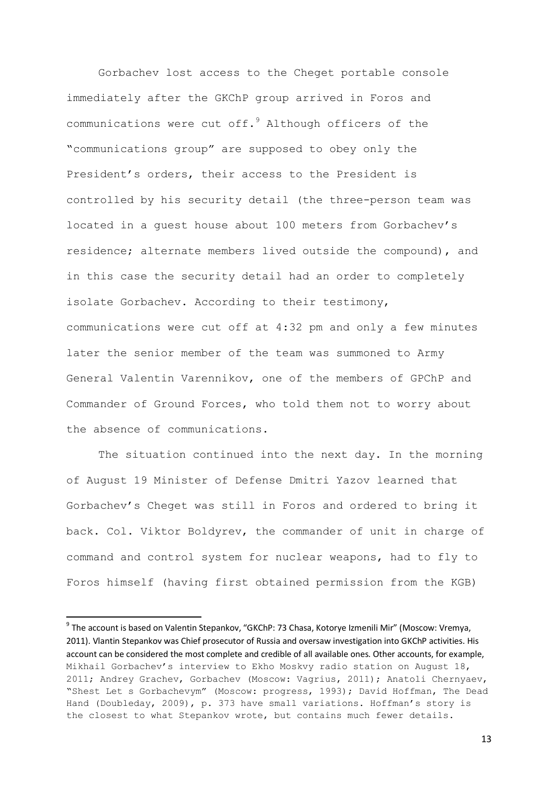Gorbachev lost access to the Cheget portable console immediately after the GKChP group arrived in Foros and communications were cut off. $9$  Although officers of the "communications group" are supposed to obey only the President's orders, their access to the President is controlled by his security detail (the three-person team was located in a guest house about 100 meters from Gorbachev's residence; alternate members lived outside the compound), and in this case the security detail had an order to completely isolate Gorbachev. According to their testimony, communications were cut off at 4:32 pm and only a few minutes later the senior member of the team was summoned to Army General Valentin Varennikov, one of the members of GPChP and Commander of Ground Forces, who told them not to worry about the absence of communications.

The situation continued into the next day. In the morning of August 19 Minister of Defense Dmitri Yazov learned that Gorbachev's Cheget was still in Foros and ordered to bring it back. Col. Viktor Boldyrev, the commander of unit in charge of command and control system for nuclear weapons, had to fly to Foros himself (having first obtained permission from the KGB)

-

<sup>&</sup>lt;sup>9</sup> The account is based on Valentin Stepankov, "GKChP: 73 Chasa, Kotorye Izmenili Mir" (Moscow: Vremya, 2011). Vlantin Stepankov was Chief prosecutor of Russia and oversaw investigation into GKChP activities. His account can be considered the most complete and credible of all available ones. Other accounts, for example, Mikhail Gorbachev's interview to Ekho Moskvy radio station on August 18, 2011; Andrey Grachev, Gorbachev (Moscow: Vagrius, 2011); Anatoli Chernyaev, "Shest Let s Gorbachevym" (Moscow: progress, 1993); David Hoffman, The Dead Hand (Doubleday, 2009), p. 373 have small variations. Hoffman's story is the closest to what Stepankov wrote, but contains much fewer details.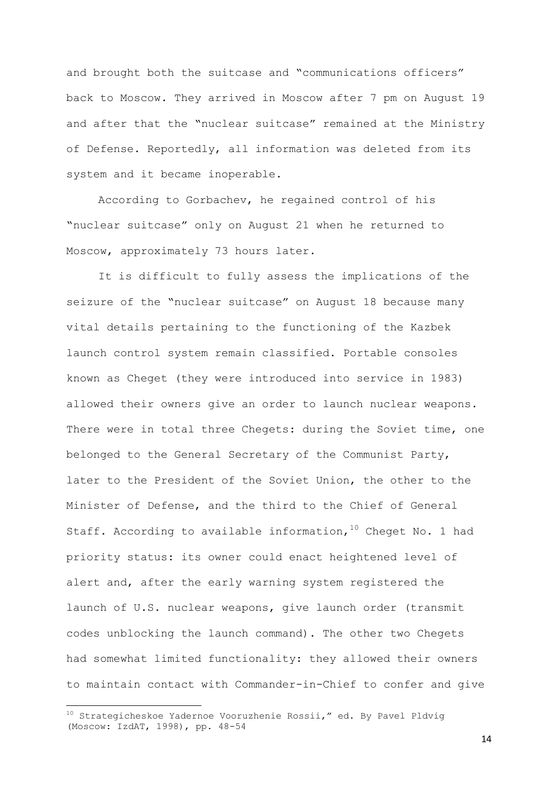and brought both the suitcase and "communications officers" back to Moscow. They arrived in Moscow after 7 pm on August 19 and after that the "nuclear suitcase" remained at the Ministry of Defense. Reportedly, all information was deleted from its system and it became inoperable.

According to Gorbachev, he regained control of his "nuclear suitcase" only on August 21 when he returned to Moscow, approximately 73 hours later.

It is difficult to fully assess the implications of the seizure of the "nuclear suitcase" on August 18 because many vital details pertaining to the functioning of the Kazbek launch control system remain classified. Portable consoles known as Cheget (they were introduced into service in 1983) allowed their owners give an order to launch nuclear weapons. There were in total three Chegets: during the Soviet time, one belonged to the General Secretary of the Communist Party, later to the President of the Soviet Union, the other to the Minister of Defense, and the third to the Chief of General Staff. According to available information,  $10^0$  Cheget No. 1 had priority status: its owner could enact heightened level of alert and, after the early warning system registered the launch of U.S. nuclear weapons, give launch order (transmit codes unblocking the launch command). The other two Chegets had somewhat limited functionality: they allowed their owners to maintain contact with Commander-in-Chief to confer and give

**.** 

 $10$  Strategicheskoe Yadernoe Vooruzhenie Rossii," ed. By Pavel Pldvig (Moscow: IzdAT, 1998), pp. 48-54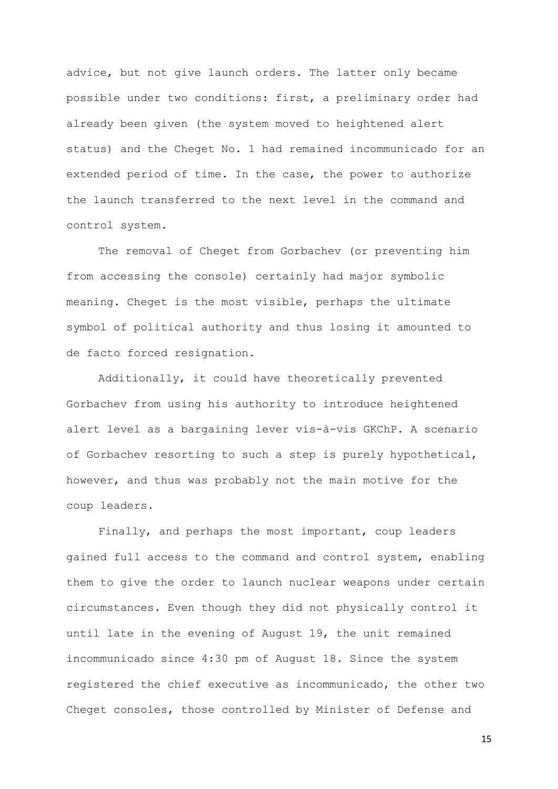advice, but not give launch orders. The latter only became possible under two conditions: first, a preliminary order had already been given (the system moved to heightened alert status) and the Cheget No. 1 had remained incommunicado for an extended period of time. In the case, the power to authorize the launch transferred to the next level in the command and control system.

The removal of Cheget from Gorbachev (or preventing him from accessing the console) certainly had major symbolic meaning. Cheget is the most visible, perhaps the ultimate symbol of political authority and thus losing it amounted to de facto forced resignation.

Additionally, it could have theoretically prevented Gorbachev from using his authority to introduce heightened alert level as a bargaining lever vis-à-vis GKChP. A scenario of Gorbachev resorting to such a step is purely hypothetical, however, and thus was probably not the main motive for the coup leaders.

Finally, and perhaps the most important, coup leaders gained full access to the command and control system, enabling them to give the order to launch nuclear weapons under certain circumstances. Even though they did not physically control it until late in the evening of August 19, the unit remained incommunicado since 4:30 pm of August 18. Since the system registered the chief executive as incommunicado, the other two Cheget consoles, those controlled by Minister of Defense and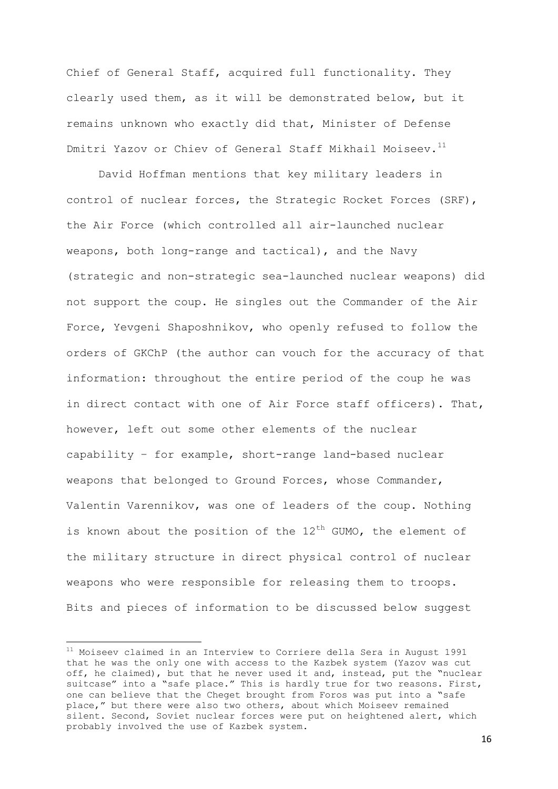Chief of General Staff, acquired full functionality. They clearly used them, as it will be demonstrated below, but it remains unknown who exactly did that, Minister of Defense Dmitri Yazov or Chiev of General Staff Mikhail Moiseev.<sup>11</sup>

David Hoffman mentions that key military leaders in control of nuclear forces, the Strategic Rocket Forces (SRF), the Air Force (which controlled all air-launched nuclear weapons, both long-range and tactical), and the Navy (strategic and non-strategic sea-launched nuclear weapons) did not support the coup. He singles out the Commander of the Air Force, Yevgeni Shaposhnikov, who openly refused to follow the orders of GKChP (the author can vouch for the accuracy of that information: throughout the entire period of the coup he was in direct contact with one of Air Force staff officers). That, however, left out some other elements of the nuclear capability – for example, short-range land-based nuclear weapons that belonged to Ground Forces, whose Commander, Valentin Varennikov, was one of leaders of the coup. Nothing is known about the position of the  $12^{th}$  GUMO, the element of the military structure in direct physical control of nuclear weapons who were responsible for releasing them to troops. Bits and pieces of information to be discussed below suggest

-

<sup>11</sup> Moiseev claimed in an Interview to Corriere della Sera in August 1991 that he was the only one with access to the Kazbek system (Yazov was cut off, he claimed), but that he never used it and, instead, put the "nuclear suitcase" into a "safe place." This is hardly true for two reasons. First, one can believe that the Cheget brought from Foros was put into a "safe place," but there were also two others, about which Moiseev remained silent. Second, Soviet nuclear forces were put on heightened alert, which probably involved the use of Kazbek system.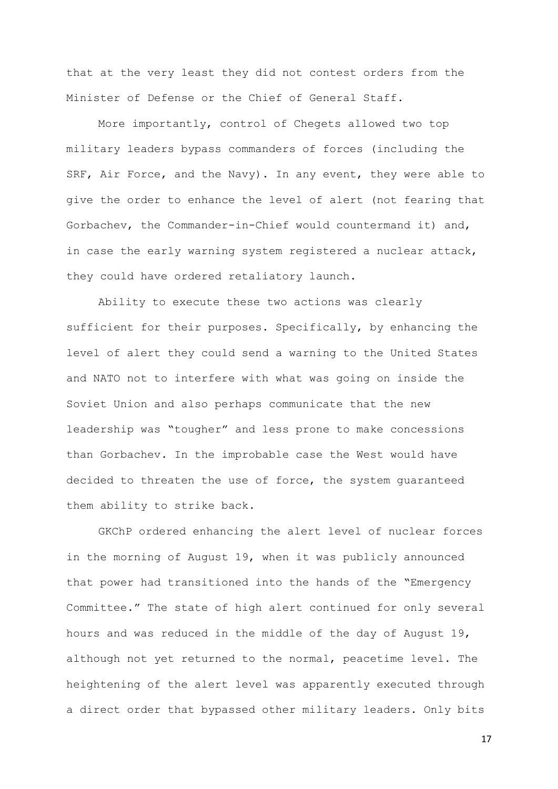that at the very least they did not contest orders from the Minister of Defense or the Chief of General Staff.

More importantly, control of Chegets allowed two top military leaders bypass commanders of forces (including the SRF, Air Force, and the Navy). In any event, they were able to give the order to enhance the level of alert (not fearing that Gorbachev, the Commander-in-Chief would countermand it) and, in case the early warning system registered a nuclear attack, they could have ordered retaliatory launch.

Ability to execute these two actions was clearly sufficient for their purposes. Specifically, by enhancing the level of alert they could send a warning to the United States and NATO not to interfere with what was going on inside the Soviet Union and also perhaps communicate that the new leadership was "tougher" and less prone to make concessions than Gorbachev. In the improbable case the West would have decided to threaten the use of force, the system guaranteed them ability to strike back.

GKChP ordered enhancing the alert level of nuclear forces in the morning of August 19, when it was publicly announced that power had transitioned into the hands of the "Emergency Committee." The state of high alert continued for only several hours and was reduced in the middle of the day of August 19, although not yet returned to the normal, peacetime level. The heightening of the alert level was apparently executed through a direct order that bypassed other military leaders. Only bits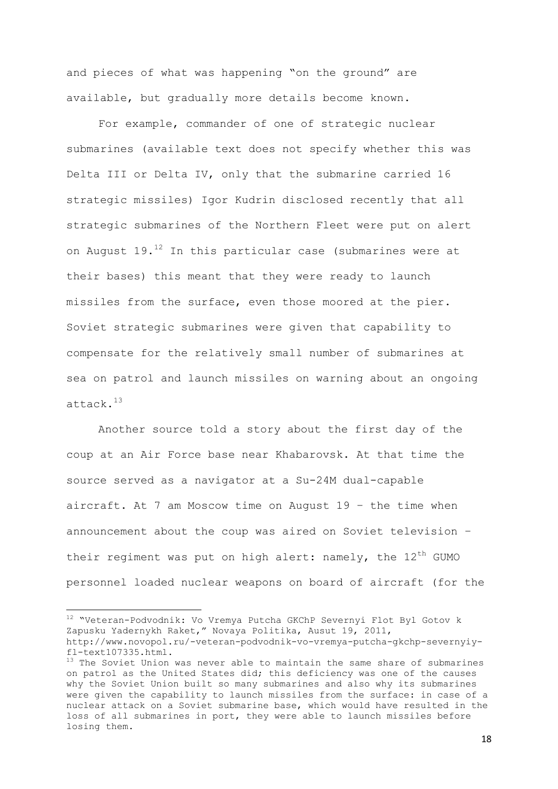and pieces of what was happening "on the ground" are available, but gradually more details become known.

For example, commander of one of strategic nuclear submarines (available text does not specify whether this was Delta III or Delta IV, only that the submarine carried 16 strategic missiles) Igor Kudrin disclosed recently that all strategic submarines of the Northern Fleet were put on alert on August  $19.^{12}$  In this particular case (submarines were at their bases) this meant that they were ready to launch missiles from the surface, even those moored at the pier. Soviet strategic submarines were given that capability to compensate for the relatively small number of submarines at sea on patrol and launch missiles on warning about an ongoing attack.<sup>13</sup>

Another source told a story about the first day of the coup at an Air Force base near Khabarovsk. At that time the source served as a navigator at a Su-24M dual-capable aircraft. At 7 am Moscow time on August 19 – the time when announcement about the coup was aired on Soviet television – their regiment was put on high alert: namely, the  $12<sup>th</sup>$  GUMO personnel loaded nuclear weapons on board of aircraft (for the

-

<sup>12</sup> "Veteran-Podvodnik: Vo Vremya Putcha GKChP Severnyi Flot Byl Gotov k Zapusku Yadernykh Raket," Novaya Politika, Ausut 19, 2011, http://www.novopol.ru/-veteran-podvodnik-vo-vremya-putcha-gkchp-severnyiyfl-text107335.html.

 $13$  The Soviet Union was never able to maintain the same share of submarines on patrol as the United States did; this deficiency was one of the causes why the Soviet Union built so many submarines and also why its submarines were given the capability to launch missiles from the surface: in case of a nuclear attack on a Soviet submarine base, which would have resulted in the loss of all submarines in port, they were able to launch missiles before losing them.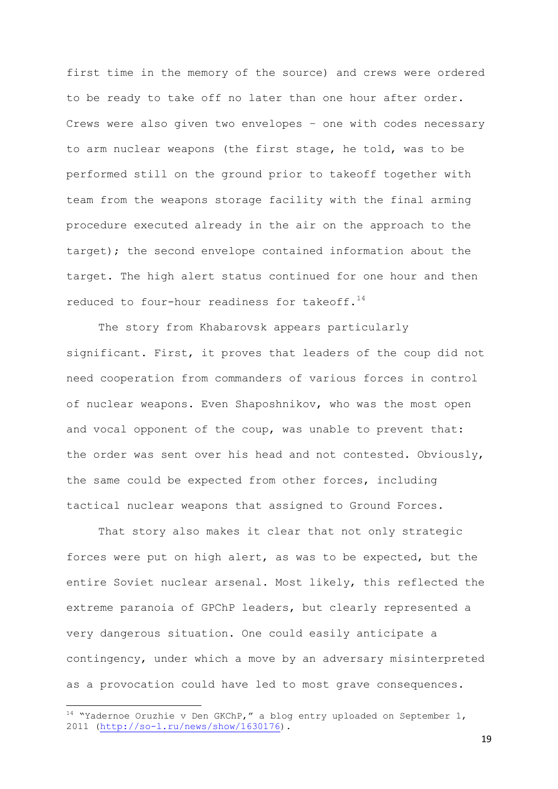first time in the memory of the source) and crews were ordered to be ready to take off no later than one hour after order. Crews were also given two envelopes – one with codes necessary to arm nuclear weapons (the first stage, he told, was to be performed still on the ground prior to takeoff together with team from the weapons storage facility with the final arming procedure executed already in the air on the approach to the target); the second envelope contained information about the target. The high alert status continued for one hour and then reduced to four-hour readiness for takeoff.<sup>14</sup>

The story from Khabarovsk appears particularly significant. First, it proves that leaders of the coup did not need cooperation from commanders of various forces in control of nuclear weapons. Even Shaposhnikov, who was the most open and vocal opponent of the coup, was unable to prevent that: the order was sent over his head and not contested. Obviously, the same could be expected from other forces, including tactical nuclear weapons that assigned to Ground Forces.

That story also makes it clear that not only strategic forces were put on high alert, as was to be expected, but the entire Soviet nuclear arsenal. Most likely, this reflected the extreme paranoia of GPChP leaders, but clearly represented a very dangerous situation. One could easily anticipate a contingency, under which a move by an adversary misinterpreted as a provocation could have led to most grave consequences.

**.** 

 $14$  "Yadernoe Oruzhie v Den GKChP," a blog entry uploaded on September 1, 2011 [\(http://so-l.ru/news/show/1630176\)](http://so-l.ru/news/show/1630176).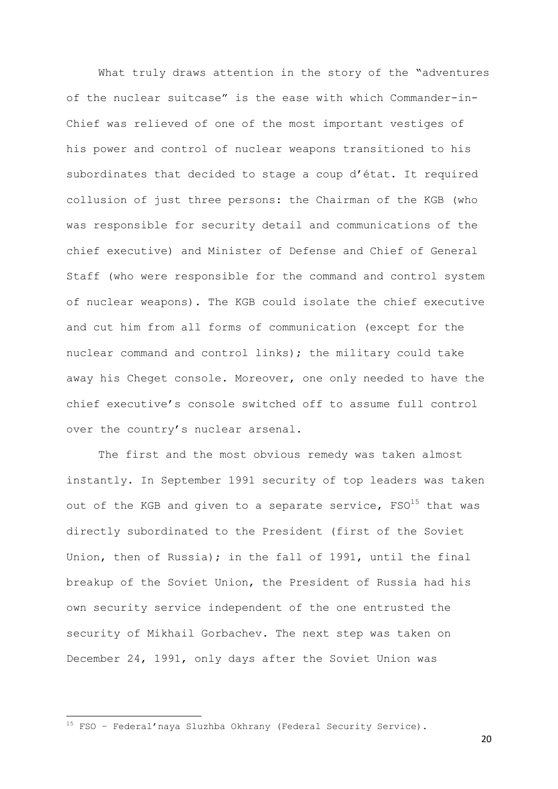What truly draws attention in the story of the "adventures of the nuclear suitcase" is the ease with which Commander-in-Chief was relieved of one of the most important vestiges of his power and control of nuclear weapons transitioned to his subordinates that decided to stage a coup d'état. It required collusion of just three persons: the Chairman of the KGB (who was responsible for security detail and communications of the chief executive) and Minister of Defense and Chief of General Staff (who were responsible for the command and control system of nuclear weapons). The KGB could isolate the chief executive and cut him from all forms of communication (except for the nuclear command and control links); the military could take away his Cheget console. Moreover, one only needed to have the chief executive's console switched off to assume full control over the country's nuclear arsenal.

The first and the most obvious remedy was taken almost instantly. In September 1991 security of top leaders was taken out of the KGB and given to a separate service,  $FSO^{15}$  that was directly subordinated to the President (first of the Soviet Union, then of Russia); in the fall of 1991, until the final breakup of the Soviet Union, the President of Russia had his own security service independent of the one entrusted the security of Mikhail Gorbachev. The next step was taken on December 24, 1991, only days after the Soviet Union was

**.** 

<sup>15</sup> FSO – Federal'naya Sluzhba Okhrany (Federal Security Service).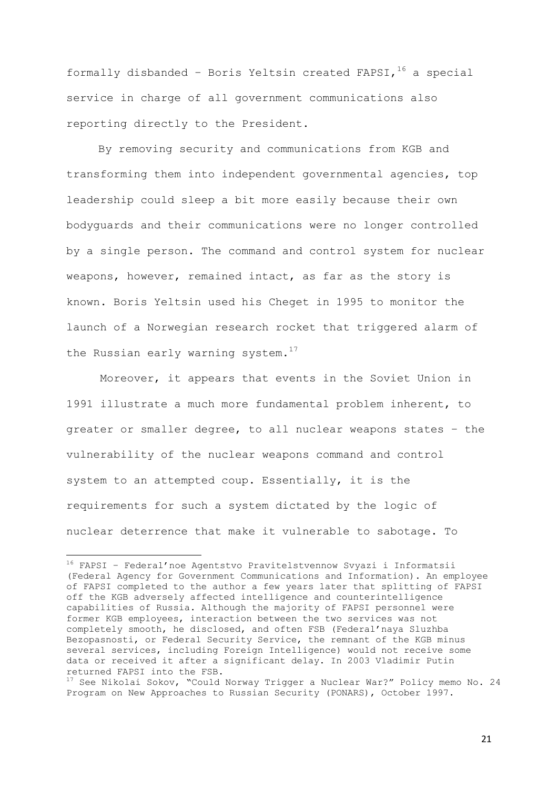formally disbanded - Boris Yeltsin created FAPSI,  $16$  a special service in charge of all government communications also reporting directly to the President.

By removing security and communications from KGB and transforming them into independent governmental agencies, top leadership could sleep a bit more easily because their own bodyguards and their communications were no longer controlled by a single person. The command and control system for nuclear weapons, however, remained intact, as far as the story is known. Boris Yeltsin used his Cheget in 1995 to monitor the launch of a Norwegian research rocket that triggered alarm of the Russian early warning system.<sup>17</sup>

Moreover, it appears that events in the Soviet Union in 1991 illustrate a much more fundamental problem inherent, to greater or smaller degree, to all nuclear weapons states – the vulnerability of the nuclear weapons command and control system to an attempted coup. Essentially, it is the requirements for such a system dictated by the logic of nuclear deterrence that make it vulnerable to sabotage. To

<sup>16</sup> FAPSI – Federal'noe Agentstvo Pravitelstvennow Svyazi i Informatsii (Federal Agency for Government Communications and Information). An employee of FAPSI completed to the author a few years later that splitting of FAPSI off the KGB adversely affected intelligence and counterintelligence capabilities of Russia. Although the majority of FAPSI personnel were former KGB employees, interaction between the two services was not completely smooth, he disclosed, and often FSB (Federal'naya Sluzhba Bezopasnosti, or Federal Security Service, the remnant of the KGB minus several services, including Foreign Intelligence) would not receive some data or received it after a significant delay. In 2003 Vladimir Putin returned FAPSI into the FSB.

<sup>&</sup>lt;sup>17</sup> See Nikolai Sokov, "Could Norway Trigger a Nuclear War?" Policy memo No. 24 Program on New Approaches to Russian Security (PONARS), October 1997.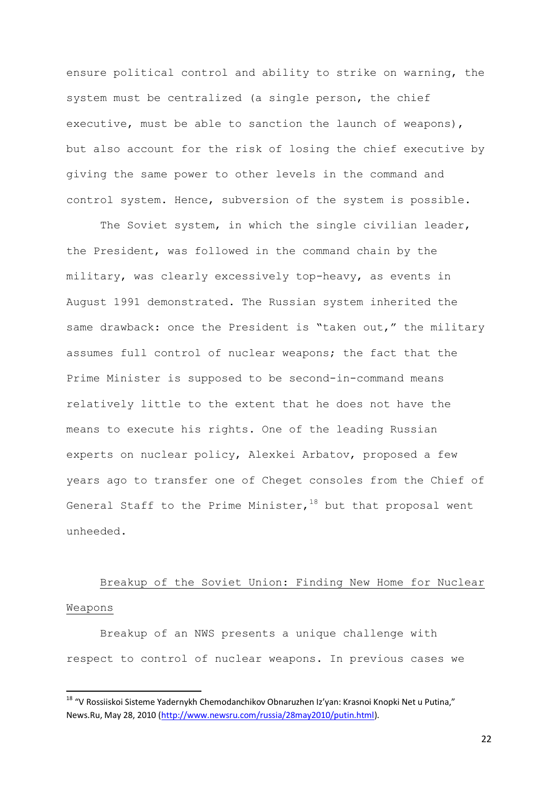ensure political control and ability to strike on warning, the system must be centralized (a single person, the chief executive, must be able to sanction the launch of weapons), but also account for the risk of losing the chief executive by giving the same power to other levels in the command and control system. Hence, subversion of the system is possible.

The Soviet system, in which the single civilian leader, the President, was followed in the command chain by the military, was clearly excessively top-heavy, as events in August 1991 demonstrated. The Russian system inherited the same drawback: once the President is "taken out," the military assumes full control of nuclear weapons; the fact that the Prime Minister is supposed to be second-in-command means relatively little to the extent that he does not have the means to execute his rights. One of the leading Russian experts on nuclear policy, Alexkei Arbatov, proposed a few years ago to transfer one of Cheget consoles from the Chief of General Staff to the Prime Minister,  $18$  but that proposal went unheeded.

# Breakup of the Soviet Union: Finding New Home for Nuclear Weapons

Breakup of an NWS presents a unique challenge with respect to control of nuclear weapons. In previous cases we

**.** 

<sup>&</sup>lt;sup>18</sup> "V Rossiiskoi Sisteme Yadernykh Chemodanchikov Obnaruzhen Iz'yan: Krasnoi Knopki Net u Putina," News.Ru, May 28, 2010 [\(http://www.newsru.com/russia/28may2010/putin.html\)](http://www.newsru.com/russia/28may2010/putin.html).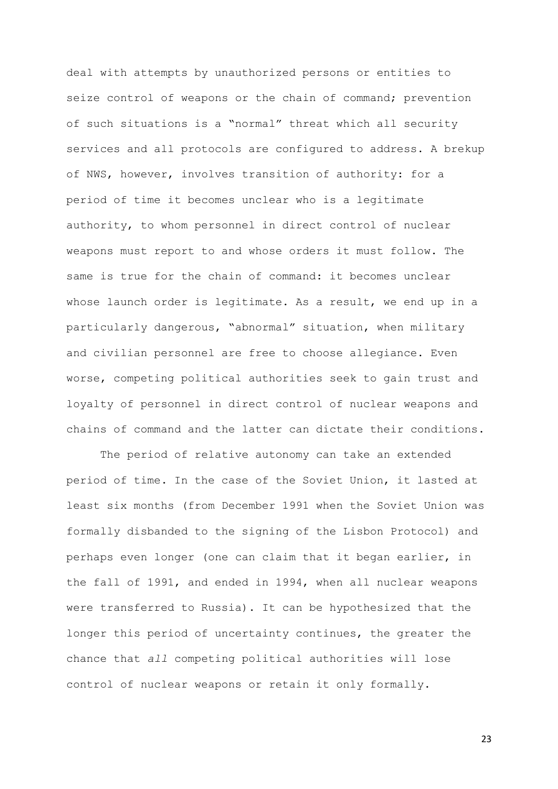deal with attempts by unauthorized persons or entities to seize control of weapons or the chain of command; prevention of such situations is a "normal" threat which all security services and all protocols are configured to address. A brekup of NWS, however, involves transition of authority: for a period of time it becomes unclear who is a legitimate authority, to whom personnel in direct control of nuclear weapons must report to and whose orders it must follow. The same is true for the chain of command: it becomes unclear whose launch order is legitimate. As a result, we end up in a particularly dangerous, "abnormal" situation, when military and civilian personnel are free to choose allegiance. Even worse, competing political authorities seek to gain trust and loyalty of personnel in direct control of nuclear weapons and chains of command and the latter can dictate their conditions.

The period of relative autonomy can take an extended period of time. In the case of the Soviet Union, it lasted at least six months (from December 1991 when the Soviet Union was formally disbanded to the signing of the Lisbon Protocol) and perhaps even longer (one can claim that it began earlier, in the fall of 1991, and ended in 1994, when all nuclear weapons were transferred to Russia). It can be hypothesized that the longer this period of uncertainty continues, the greater the chance that *all* competing political authorities will lose control of nuclear weapons or retain it only formally.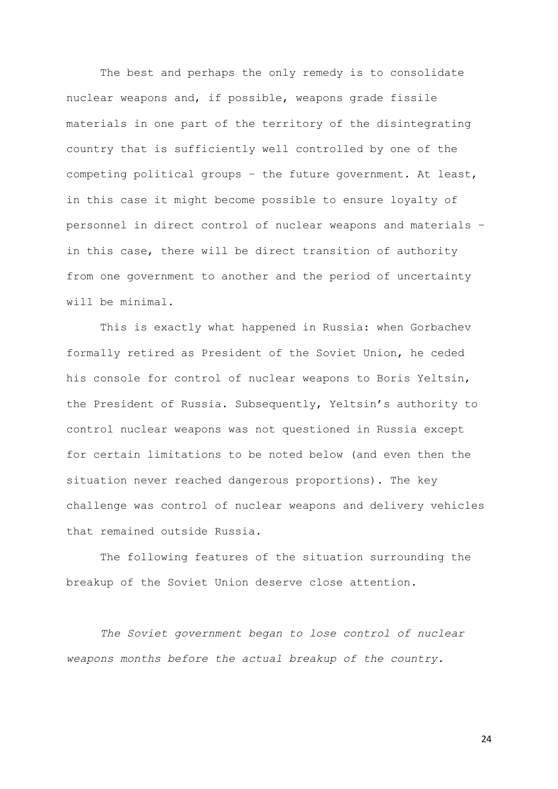The best and perhaps the only remedy is to consolidate nuclear weapons and, if possible, weapons grade fissile materials in one part of the territory of the disintegrating country that is sufficiently well controlled by one of the competing political groups – the future government. At least, in this case it might become possible to ensure loyalty of personnel in direct control of nuclear weapons and materials – in this case, there will be direct transition of authority from one government to another and the period of uncertainty will be minimal.

This is exactly what happened in Russia: when Gorbachev formally retired as President of the Soviet Union, he ceded his console for control of nuclear weapons to Boris Yeltsin, the President of Russia. Subsequently, Yeltsin's authority to control nuclear weapons was not questioned in Russia except for certain limitations to be noted below (and even then the situation never reached dangerous proportions). The key challenge was control of nuclear weapons and delivery vehicles that remained outside Russia.

The following features of the situation surrounding the breakup of the Soviet Union deserve close attention.

*The Soviet government began to lose control of nuclear weapons months before the actual breakup of the country.*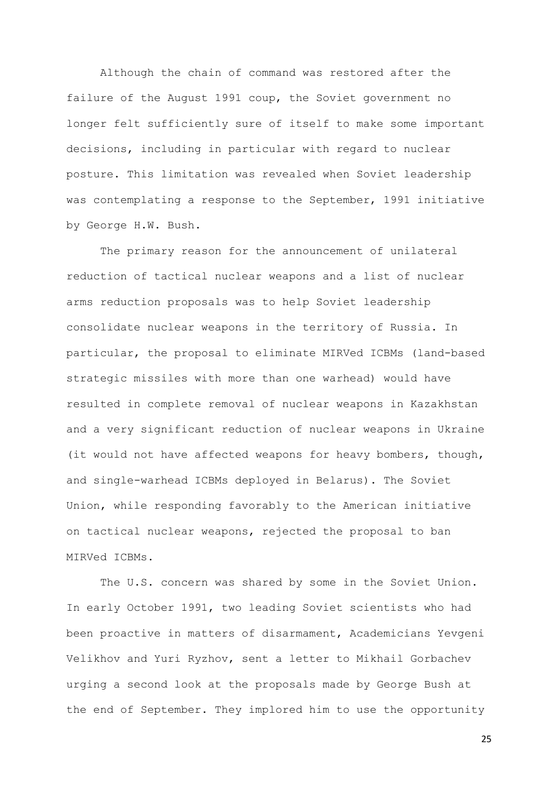Although the chain of command was restored after the failure of the August 1991 coup, the Soviet government no longer felt sufficiently sure of itself to make some important decisions, including in particular with regard to nuclear posture. This limitation was revealed when Soviet leadership was contemplating a response to the September, 1991 initiative by George H.W. Bush.

The primary reason for the announcement of unilateral reduction of tactical nuclear weapons and a list of nuclear arms reduction proposals was to help Soviet leadership consolidate nuclear weapons in the territory of Russia. In particular, the proposal to eliminate MIRVed ICBMs (land-based strategic missiles with more than one warhead) would have resulted in complete removal of nuclear weapons in Kazakhstan and a very significant reduction of nuclear weapons in Ukraine (it would not have affected weapons for heavy bombers, though, and single-warhead ICBMs deployed in Belarus). The Soviet Union, while responding favorably to the American initiative on tactical nuclear weapons, rejected the proposal to ban MIRVed ICBMs.

The U.S. concern was shared by some in the Soviet Union. In early October 1991, two leading Soviet scientists who had been proactive in matters of disarmament, Academicians Yevgeni Velikhov and Yuri Ryzhov, sent a letter to Mikhail Gorbachev urging a second look at the proposals made by George Bush at the end of September. They implored him to use the opportunity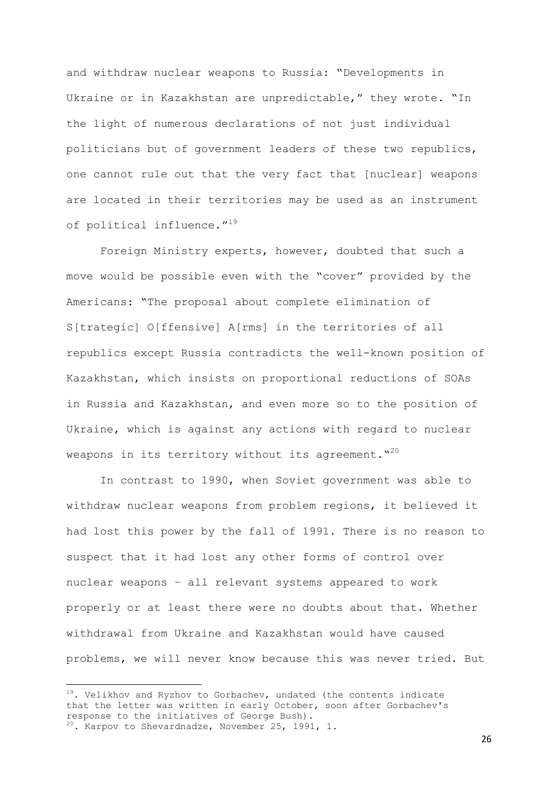and withdraw nuclear weapons to Russia: "Developments in Ukraine or in Kazakhstan are unpredictable," they wrote. "In the light of numerous declarations of not just individual politicians but of government leaders of these two republics, one cannot rule out that the very fact that [nuclear] weapons are located in their territories may be used as an instrument of political influence."<sup>19</sup>

Foreign Ministry experts, however, doubted that such a move would be possible even with the "cover" provided by the Americans: "The proposal about complete elimination of S[trategic] O[ffensive] A[rms] in the territories of all republics except Russia contradicts the well-known position of Kazakhstan, which insists on proportional reductions of SOAs in Russia and Kazakhstan, and even more so to the position of Ukraine, which is against any actions with regard to nuclear weapons in its territory without its agreement. $^{\mathsf{v}^{\mathsf{20}}}$ 

In contrast to 1990, when Soviet government was able to withdraw nuclear weapons from problem regions, it believed it had lost this power by the fall of 1991. There is no reason to suspect that it had lost any other forms of control over nuclear weapons – all relevant systems appeared to work properly or at least there were no doubts about that. Whether withdrawal from Ukraine and Kazakhstan would have caused problems, we will never know because this was never tried. But

-

 $19$ . Velikhov and Ryzhov to Gorbachev, undated (the contents indicate that the letter was written in early October, soon after Gorbachev's response to the initiatives of George Bush).  $20$ . Karpov to Shevardnadze, November 25, 1991, 1.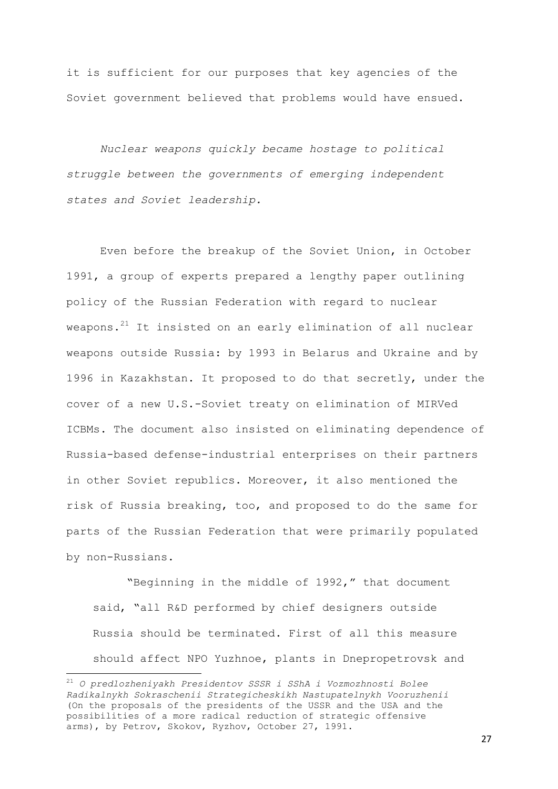it is sufficient for our purposes that key agencies of the Soviet government believed that problems would have ensued.

*Nuclear weapons quickly became hostage to political struggle between the governments of emerging independent states and Soviet leadership.* 

Even before the breakup of the Soviet Union, in October 1991, a group of experts prepared a lengthy paper outlining policy of the Russian Federation with regard to nuclear weapons.<sup>21</sup> It insisted on an early elimination of all nuclear weapons outside Russia: by 1993 in Belarus and Ukraine and by 1996 in Kazakhstan. It proposed to do that secretly, under the cover of a new U.S.-Soviet treaty on elimination of MIRVed ICBMs. The document also insisted on eliminating dependence of Russia-based defense-industrial enterprises on their partners in other Soviet republics. Moreover, it also mentioned the risk of Russia breaking, too, and proposed to do the same for parts of the Russian Federation that were primarily populated by non-Russians.

"Beginning in the middle of 1992," that document said, "all R&D performed by chief designers outside Russia should be terminated. First of all this measure should affect NPO Yuzhnoe, plants in Dnepropetrovsk and

**.** 

<sup>21</sup> *O predlozheniyakh Presidentov SSSR i SShA i Vozmozhnosti Bolee Radikalnykh Sokraschenii Strategicheskikh Nastupatelnykh Vooruzhenii* (On the proposals of the presidents of the USSR and the USA and the possibilities of a more radical reduction of strategic offensive arms), by Petrov, Skokov, Ryzhov, October 27, 1991.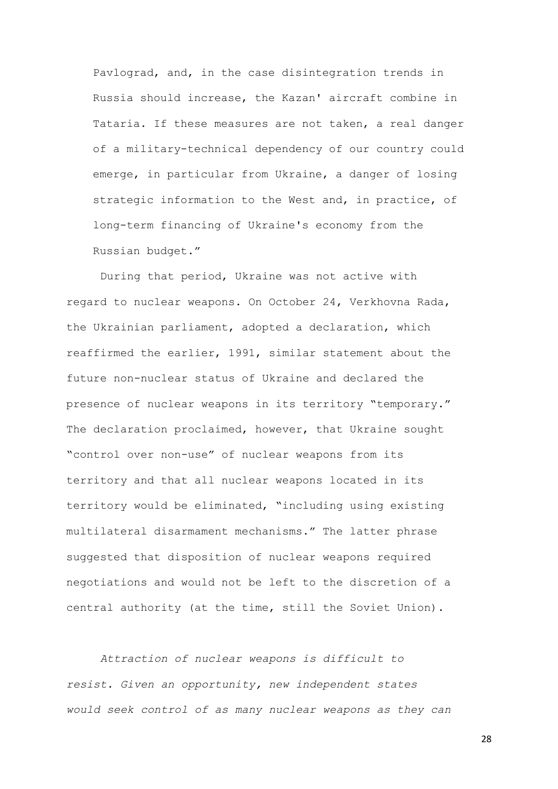Pavlograd, and, in the case disintegration trends in Russia should increase, the Kazan' aircraft combine in Tataria. If these measures are not taken, a real danger of a military-technical dependency of our country could emerge, in particular from Ukraine, a danger of losing strategic information to the West and, in practice, of long-term financing of Ukraine's economy from the Russian budget."

During that period, Ukraine was not active with regard to nuclear weapons. On October 24, Verkhovna Rada, the Ukrainian parliament, adopted a declaration, which reaffirmed the earlier, 1991, similar statement about the future non-nuclear status of Ukraine and declared the presence of nuclear weapons in its territory "temporary." The declaration proclaimed, however, that Ukraine sought "control over non-use" of nuclear weapons from its territory and that all nuclear weapons located in its territory would be eliminated, "including using existing multilateral disarmament mechanisms." The latter phrase suggested that disposition of nuclear weapons required negotiations and would not be left to the discretion of a central authority (at the time, still the Soviet Union).

*Attraction of nuclear weapons is difficult to resist. Given an opportunity, new independent states would seek control of as many nuclear weapons as they can*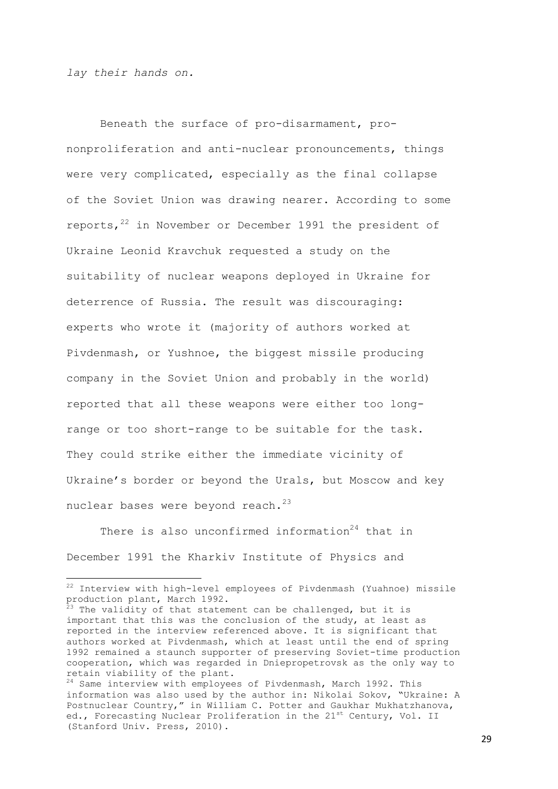*lay their hands on.*

1

Beneath the surface of pro-disarmament, prononproliferation and anti-nuclear pronouncements, things were very complicated, especially as the final collapse of the Soviet Union was drawing nearer. According to some reports, $22$  in November or December 1991 the president of Ukraine Leonid Kravchuk requested a study on the suitability of nuclear weapons deployed in Ukraine for deterrence of Russia. The result was discouraging: experts who wrote it (majority of authors worked at Pivdenmash, or Yushnoe, the biggest missile producing company in the Soviet Union and probably in the world) reported that all these weapons were either too longrange or too short-range to be suitable for the task. They could strike either the immediate vicinity of Ukraine's border or beyond the Urals, but Moscow and key nuclear bases were beyond reach.<sup>23</sup>

There is also unconfirmed information<sup>24</sup> that in December 1991 the Kharkiv Institute of Physics and

<sup>22</sup> Interview with high-level employees of Pivdenmash (Yuahnoe) missile production plant, March 1992.

 $^{\bar{2}3}$  The validity of that statement can be challenged, but it is important that this was the conclusion of the study, at least as reported in the interview referenced above. It is significant that authors worked at Pivdenmash, which at least until the end of spring 1992 remained a staunch supporter of preserving Soviet-time production cooperation, which was regarded in Dniepropetrovsk as the only way to retain viability of the plant.

<sup>&</sup>lt;sup>24</sup> Same interview with employees of Pivdenmash, March 1992. This information was also used by the author in: Nikolai Sokov, "Ukraine: A Postnuclear Country," in William C. Potter and Gaukhar Mukhatzhanova, ed., Forecasting Nuclear Proliferation in the 21<sup>st</sup> Century, Vol. II (Stanford Univ. Press, 2010).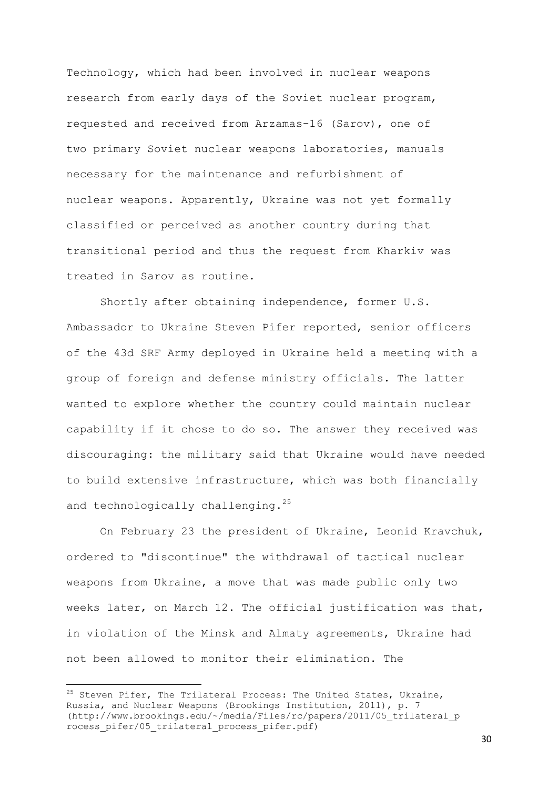Technology, which had been involved in nuclear weapons research from early days of the Soviet nuclear program, requested and received from Arzamas-16 (Sarov), one of two primary Soviet nuclear weapons laboratories, manuals necessary for the maintenance and refurbishment of nuclear weapons. Apparently, Ukraine was not yet formally classified or perceived as another country during that transitional period and thus the request from Kharkiv was treated in Sarov as routine.

Shortly after obtaining independence, former U.S. Ambassador to Ukraine Steven Pifer reported, senior officers of the 43d SRF Army deployed in Ukraine held a meeting with a group of foreign and defense ministry officials. The latter wanted to explore whether the country could maintain nuclear capability if it chose to do so. The answer they received was discouraging: the military said that Ukraine would have needed to build extensive infrastructure, which was both financially and technologically challenging.<sup>25</sup>

On February 23 the president of Ukraine, Leonid Kravchuk, ordered to "discontinue" the withdrawal of tactical nuclear weapons from Ukraine, a move that was made public only two weeks later, on March 12. The official justification was that, in violation of the Minsk and Almaty agreements, Ukraine had not been allowed to monitor their elimination. The

-

 $25$  Steven Pifer, The Trilateral Process: The United States, Ukraine, Russia, and Nuclear Weapons (Brookings Institution, 2011), p. 7 (http://www.brookings.edu/~/media/Files/rc/papers/2011/05\_trilateral\_p rocess\_pifer/05\_trilateral\_process\_pifer.pdf)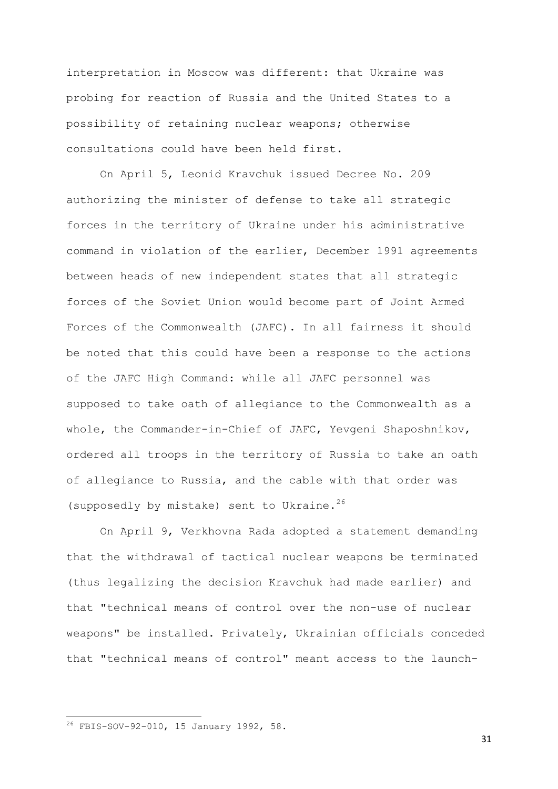interpretation in Moscow was different: that Ukraine was probing for reaction of Russia and the United States to a possibility of retaining nuclear weapons; otherwise consultations could have been held first.

On April 5, Leonid Kravchuk issued Decree No. 209 authorizing the minister of defense to take all strategic forces in the territory of Ukraine under his administrative command in violation of the earlier, December 1991 agreements between heads of new independent states that all strategic forces of the Soviet Union would become part of Joint Armed Forces of the Commonwealth (JAFC). In all fairness it should be noted that this could have been a response to the actions of the JAFC High Command: while all JAFC personnel was supposed to take oath of allegiance to the Commonwealth as a whole, the Commander-in-Chief of JAFC, Yevgeni Shaposhnikov, ordered all troops in the territory of Russia to take an oath of allegiance to Russia, and the cable with that order was (supposedly by mistake) sent to Ukraine.<sup>26</sup>

On April 9, Verkhovna Rada adopted a statement demanding that the withdrawal of tactical nuclear weapons be terminated (thus legalizing the decision Kravchuk had made earlier) and that "technical means of control over the non-use of nuclear weapons" be installed. Privately, Ukrainian officials conceded that "technical means of control" meant access to the launch-

**.** 

 $26$  FBIS-SOV-92-010, 15 January 1992, 58.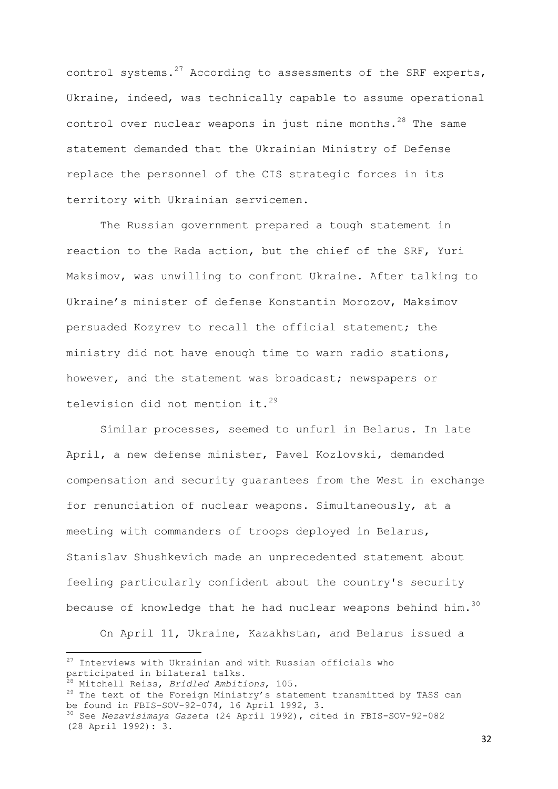control systems.<sup>27</sup> According to assessments of the SRF experts, Ukraine, indeed, was technically capable to assume operational control over nuclear weapons in just nine months.<sup>28</sup> The same statement demanded that the Ukrainian Ministry of Defense replace the personnel of the CIS strategic forces in its territory with Ukrainian servicemen.

The Russian government prepared a tough statement in reaction to the Rada action, but the chief of the SRF, Yuri Maksimov, was unwilling to confront Ukraine. After talking to Ukraine's minister of defense Konstantin Morozov, Maksimov persuaded Kozyrev to recall the official statement; the ministry did not have enough time to warn radio stations, however, and the statement was broadcast; newspapers or television did not mention it. $^{29}$ 

Similar processes, seemed to unfurl in Belarus. In late April, a new defense minister, Pavel Kozlovski, demanded compensation and security guarantees from the West in exchange for renunciation of nuclear weapons. Simultaneously, at a meeting with commanders of troops deployed in Belarus, Stanislav Shushkevich made an unprecedented statement about feeling particularly confident about the country's security because of knowledge that he had nuclear weapons behind him.  $30$ 

On April 11, Ukraine, Kazakhstan, and Belarus issued a

**.** 

 $27$  Interviews with Ukrainian and with Russian officials who participated in bilateral talks.

<sup>28</sup> Mitchell Reiss, *Bridled Ambitions*, 105.

 $29$  The text of the Foreign Ministry's statement transmitted by TASS can be found in FBIS-SOV-92-074, 16 April 1992, 3.

<sup>30</sup> See *Nezavisimaya Gazeta* (24 April 1992), cited in FBIS-SOV-92-082 (28 April 1992): 3.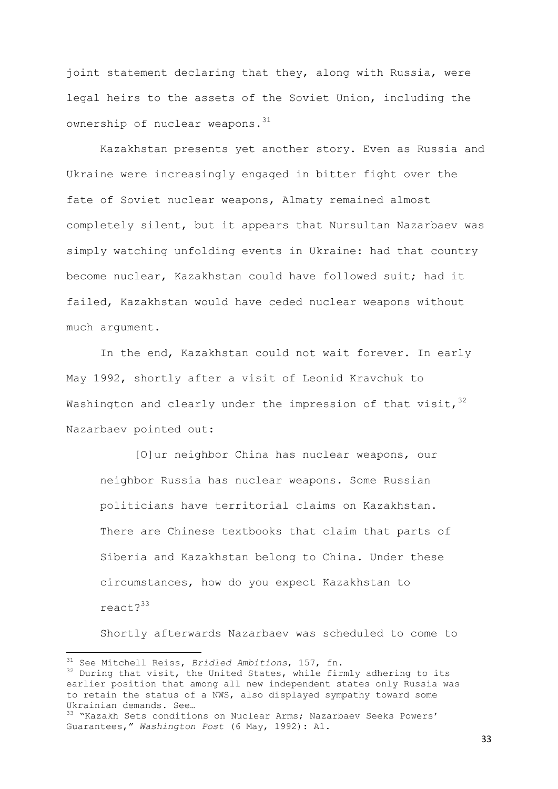joint statement declaring that they, along with Russia, were legal heirs to the assets of the Soviet Union, including the ownership of nuclear weapons.<sup>31</sup>

Kazakhstan presents yet another story. Even as Russia and Ukraine were increasingly engaged in bitter fight over the fate of Soviet nuclear weapons, Almaty remained almost completely silent, but it appears that Nursultan Nazarbaev was simply watching unfolding events in Ukraine: had that country become nuclear, Kazakhstan could have followed suit; had it failed, Kazakhstan would have ceded nuclear weapons without much argument.

In the end, Kazakhstan could not wait forever. In early May 1992, shortly after a visit of Leonid Kravchuk to Washington and clearly under the impression of that visit,  $32$ Nazarbaev pointed out:

[O]ur neighbor China has nuclear weapons, our neighbor Russia has nuclear weapons. Some Russian politicians have territorial claims on Kazakhstan. There are Chinese textbooks that claim that parts of Siberia and Kazakhstan belong to China. Under these circumstances, how do you expect Kazakhstan to react?<sup>33</sup>

Shortly afterwards Nazarbaev was scheduled to come to

**.** 

<sup>31</sup> See Mitchell Reiss, *Bridled Ambitions*, 157, fn.

<sup>&</sup>lt;sup>32</sup> During that visit, the United States, while firmly adhering to its earlier position that among all new independent states only Russia was to retain the status of a NWS, also displayed sympathy toward some Ukrainian demands. See…

<sup>&</sup>lt;sup>33</sup> "Kazakh Sets conditions on Nuclear Arms; Nazarbaev Seeks Powers' Guarantees," *Washington Post* (6 May, 1992): A1.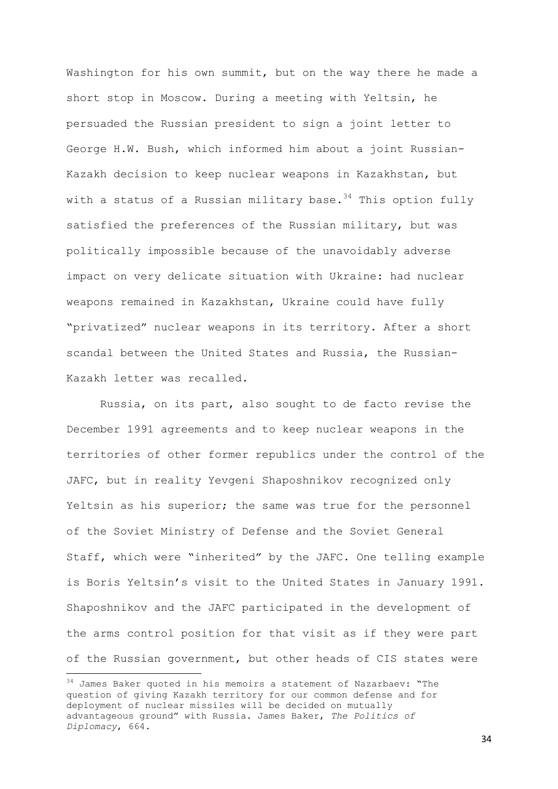Washington for his own summit, but on the way there he made a short stop in Moscow. During a meeting with Yeltsin, he persuaded the Russian president to sign a joint letter to George H.W. Bush, which informed him about a joint Russian-Kazakh decision to keep nuclear weapons in Kazakhstan, but with a status of a Russian military base.<sup>34</sup> This option fully satisfied the preferences of the Russian military, but was politically impossible because of the unavoidably adverse impact on very delicate situation with Ukraine: had nuclear weapons remained in Kazakhstan, Ukraine could have fully "privatized" nuclear weapons in its territory. After a short scandal between the United States and Russia, the Russian-Kazakh letter was recalled.

Russia, on its part, also sought to de facto revise the December 1991 agreements and to keep nuclear weapons in the territories of other former republics under the control of the JAFC, but in reality Yevgeni Shaposhnikov recognized only Yeltsin as his superior; the same was true for the personnel of the Soviet Ministry of Defense and the Soviet General Staff, which were "inherited" by the JAFC. One telling example is Boris Yeltsin's visit to the United States in January 1991. Shaposhnikov and the JAFC participated in the development of the arms control position for that visit as if they were part of the Russian government, but other heads of CIS states were

**.** 

 $34$  James Baker quoted in his memoirs a statement of Nazarbaev: "The question of giving Kazakh territory for our common defense and for deployment of nuclear missiles will be decided on mutually advantageous ground" with Russia. James Baker, *The Politics of Diplomacy*, 664.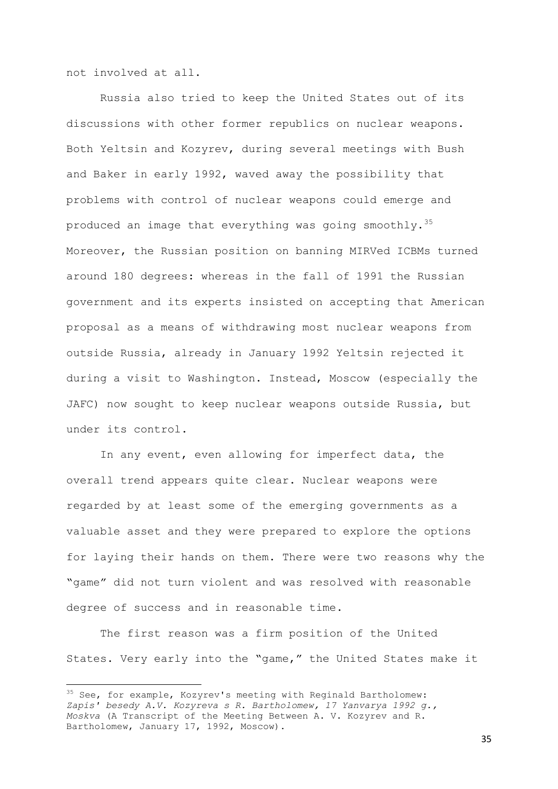not involved at all.

-

Russia also tried to keep the United States out of its discussions with other former republics on nuclear weapons. Both Yeltsin and Kozyrev, during several meetings with Bush and Baker in early 1992, waved away the possibility that problems with control of nuclear weapons could emerge and produced an image that everything was going smoothly.<sup>35</sup> Moreover, the Russian position on banning MIRVed ICBMs turned around 180 degrees: whereas in the fall of 1991 the Russian government and its experts insisted on accepting that American proposal as a means of withdrawing most nuclear weapons from outside Russia, already in January 1992 Yeltsin rejected it during a visit to Washington. Instead, Moscow (especially the JAFC) now sought to keep nuclear weapons outside Russia, but under its control.

In any event, even allowing for imperfect data, the overall trend appears quite clear. Nuclear weapons were regarded by at least some of the emerging governments as a valuable asset and they were prepared to explore the options for laying their hands on them. There were two reasons why the "game" did not turn violent and was resolved with reasonable degree of success and in reasonable time.

The first reason was a firm position of the United States. Very early into the "game," the United States make it

<sup>35</sup> See, for example, Kozyrev's meeting with Reginald Bartholomew: *Zapis' besedy A.V. Kozyreva s R. Bartholomew, 17 Yanvarya 1992 g., Moskva* (A Transcript of the Meeting Between A. V. Kozyrev and R. Bartholomew, January 17, 1992, Moscow).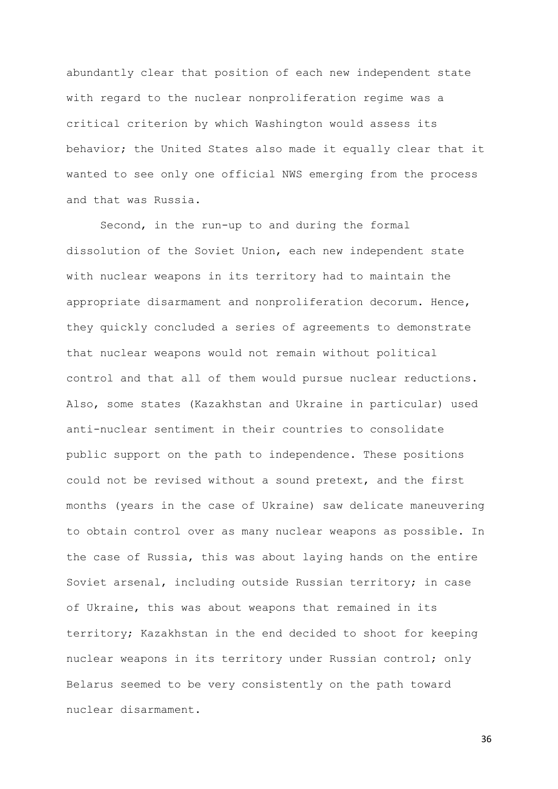abundantly clear that position of each new independent state with regard to the nuclear nonproliferation regime was a critical criterion by which Washington would assess its behavior; the United States also made it equally clear that it wanted to see only one official NWS emerging from the process and that was Russia.

Second, in the run-up to and during the formal dissolution of the Soviet Union, each new independent state with nuclear weapons in its territory had to maintain the appropriate disarmament and nonproliferation decorum. Hence, they quickly concluded a series of agreements to demonstrate that nuclear weapons would not remain without political control and that all of them would pursue nuclear reductions. Also, some states (Kazakhstan and Ukraine in particular) used anti-nuclear sentiment in their countries to consolidate public support on the path to independence. These positions could not be revised without a sound pretext, and the first months (years in the case of Ukraine) saw delicate maneuvering to obtain control over as many nuclear weapons as possible. In the case of Russia, this was about laying hands on the entire Soviet arsenal, including outside Russian territory; in case of Ukraine, this was about weapons that remained in its territory; Kazakhstan in the end decided to shoot for keeping nuclear weapons in its territory under Russian control; only Belarus seemed to be very consistently on the path toward nuclear disarmament.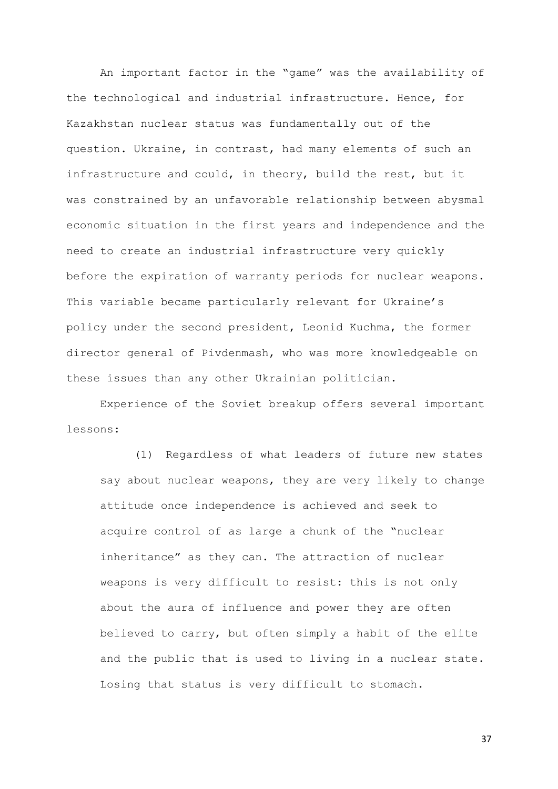An important factor in the "game" was the availability of the technological and industrial infrastructure. Hence, for Kazakhstan nuclear status was fundamentally out of the question. Ukraine, in contrast, had many elements of such an infrastructure and could, in theory, build the rest, but it was constrained by an unfavorable relationship between abysmal economic situation in the first years and independence and the need to create an industrial infrastructure very quickly before the expiration of warranty periods for nuclear weapons. This variable became particularly relevant for Ukraine's policy under the second president, Leonid Kuchma, the former director general of Pivdenmash, who was more knowledgeable on these issues than any other Ukrainian politician.

Experience of the Soviet breakup offers several important lessons:

(1) Regardless of what leaders of future new states say about nuclear weapons, they are very likely to change attitude once independence is achieved and seek to acquire control of as large a chunk of the "nuclear inheritance" as they can. The attraction of nuclear weapons is very difficult to resist: this is not only about the aura of influence and power they are often believed to carry, but often simply a habit of the elite and the public that is used to living in a nuclear state. Losing that status is very difficult to stomach.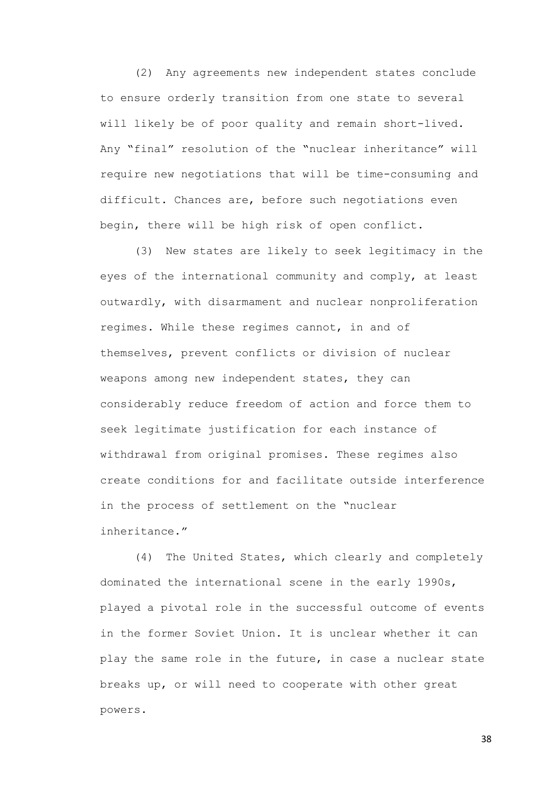(2) Any agreements new independent states conclude to ensure orderly transition from one state to several will likely be of poor quality and remain short-lived. Any "final" resolution of the "nuclear inheritance" will require new negotiations that will be time-consuming and difficult. Chances are, before such negotiations even begin, there will be high risk of open conflict.

(3) New states are likely to seek legitimacy in the eyes of the international community and comply, at least outwardly, with disarmament and nuclear nonproliferation regimes. While these regimes cannot, in and of themselves, prevent conflicts or division of nuclear weapons among new independent states, they can considerably reduce freedom of action and force them to seek legitimate justification for each instance of withdrawal from original promises. These regimes also create conditions for and facilitate outside interference in the process of settlement on the "nuclear inheritance."

(4) The United States, which clearly and completely dominated the international scene in the early 1990s, played a pivotal role in the successful outcome of events in the former Soviet Union. It is unclear whether it can play the same role in the future, in case a nuclear state breaks up, or will need to cooperate with other great powers.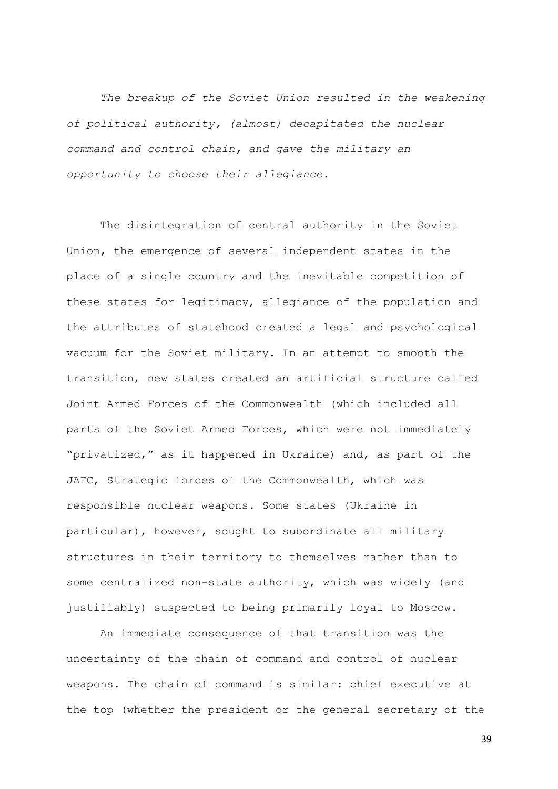*The breakup of the Soviet Union resulted in the weakening of political authority, (almost) decapitated the nuclear command and control chain, and gave the military an opportunity to choose their allegiance.*

The disintegration of central authority in the Soviet Union, the emergence of several independent states in the place of a single country and the inevitable competition of these states for legitimacy, allegiance of the population and the attributes of statehood created a legal and psychological vacuum for the Soviet military. In an attempt to smooth the transition, new states created an artificial structure called Joint Armed Forces of the Commonwealth (which included all parts of the Soviet Armed Forces, which were not immediately "privatized," as it happened in Ukraine) and, as part of the JAFC, Strategic forces of the Commonwealth, which was responsible nuclear weapons. Some states (Ukraine in particular), however, sought to subordinate all military structures in their territory to themselves rather than to some centralized non-state authority, which was widely (and justifiably) suspected to being primarily loyal to Moscow.

An immediate consequence of that transition was the uncertainty of the chain of command and control of nuclear weapons. The chain of command is similar: chief executive at the top (whether the president or the general secretary of the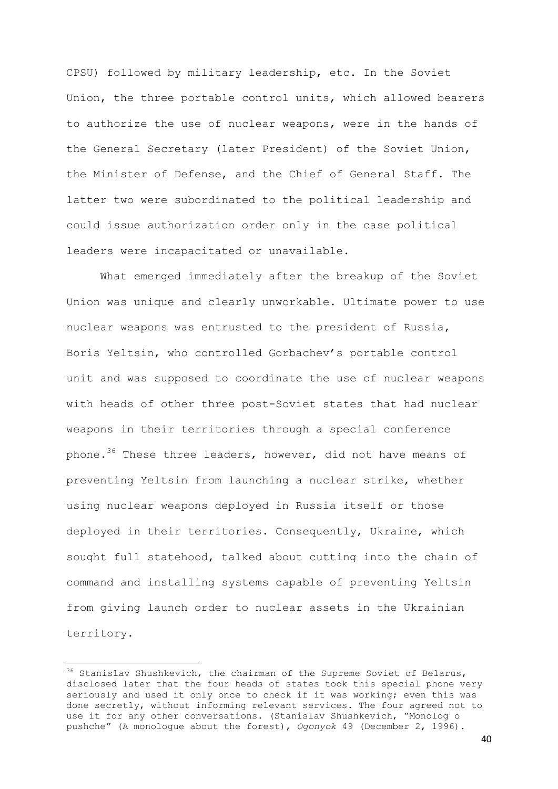CPSU) followed by military leadership, etc. In the Soviet Union, the three portable control units, which allowed bearers to authorize the use of nuclear weapons, were in the hands of the General Secretary (later President) of the Soviet Union, the Minister of Defense, and the Chief of General Staff. The latter two were subordinated to the political leadership and could issue authorization order only in the case political leaders were incapacitated or unavailable.

What emerged immediately after the breakup of the Soviet Union was unique and clearly unworkable. Ultimate power to use nuclear weapons was entrusted to the president of Russia, Boris Yeltsin, who controlled Gorbachev's portable control unit and was supposed to coordinate the use of nuclear weapons with heads of other three post-Soviet states that had nuclear weapons in their territories through a special conference phone.<sup>36</sup> These three leaders, however, did not have means of preventing Yeltsin from launching a nuclear strike, whether using nuclear weapons deployed in Russia itself or those deployed in their territories. Consequently, Ukraine, which sought full statehood, talked about cutting into the chain of command and installing systems capable of preventing Yeltsin from giving launch order to nuclear assets in the Ukrainian territory.

**.** 

<sup>&</sup>lt;sup>36</sup> Stanislav Shushkevich, the chairman of the Supreme Soviet of Belarus, disclosed later that the four heads of states took this special phone very seriously and used it only once to check if it was working; even this was done secretly, without informing relevant services. The four agreed not to use it for any other conversations. (Stanislav Shushkevich, "Monolog o pushche" (A monologue about the forest), *Ogonyok* 49 (December 2, 1996).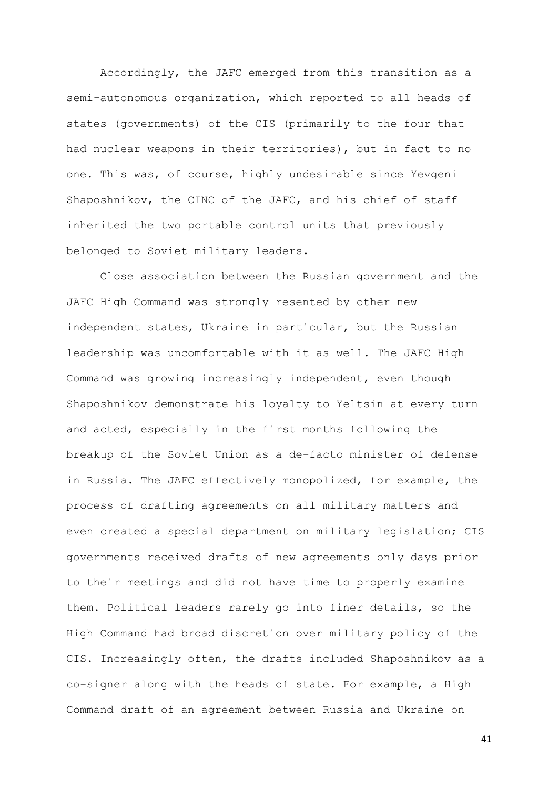Accordingly, the JAFC emerged from this transition as a semi-autonomous organization, which reported to all heads of states (governments) of the CIS (primarily to the four that had nuclear weapons in their territories), but in fact to no one. This was, of course, highly undesirable since Yevgeni Shaposhnikov, the CINC of the JAFC, and his chief of staff inherited the two portable control units that previously belonged to Soviet military leaders.

Close association between the Russian government and the JAFC High Command was strongly resented by other new independent states, Ukraine in particular, but the Russian leadership was uncomfortable with it as well. The JAFC High Command was growing increasingly independent, even though Shaposhnikov demonstrate his loyalty to Yeltsin at every turn and acted, especially in the first months following the breakup of the Soviet Union as a de-facto minister of defense in Russia. The JAFC effectively monopolized, for example, the process of drafting agreements on all military matters and even created a special department on military legislation; CIS governments received drafts of new agreements only days prior to their meetings and did not have time to properly examine them. Political leaders rarely go into finer details, so the High Command had broad discretion over military policy of the CIS. Increasingly often, the drafts included Shaposhnikov as a co-signer along with the heads of state. For example, a High Command draft of an agreement between Russia and Ukraine on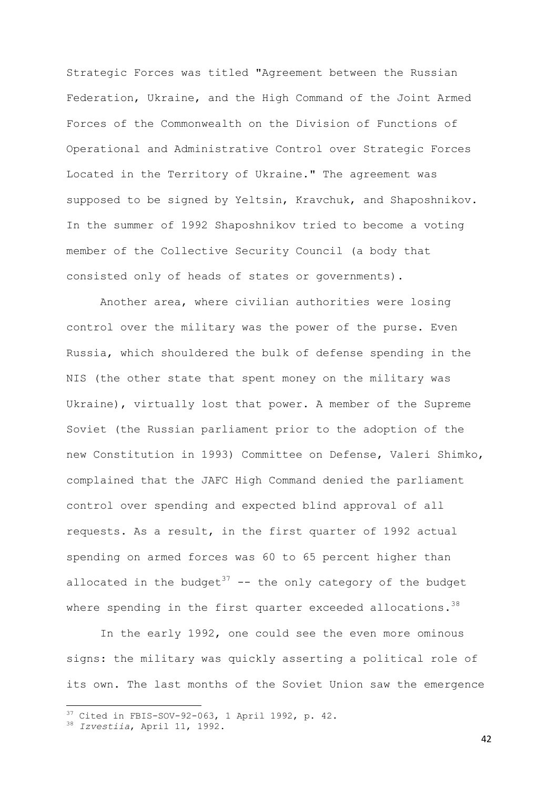Strategic Forces was titled "Agreement between the Russian Federation, Ukraine, and the High Command of the Joint Armed Forces of the Commonwealth on the Division of Functions of Operational and Administrative Control over Strategic Forces Located in the Territory of Ukraine." The agreement was supposed to be signed by Yeltsin, Kravchuk, and Shaposhnikov. In the summer of 1992 Shaposhnikov tried to become a voting member of the Collective Security Council (a body that consisted only of heads of states or governments).

Another area, where civilian authorities were losing control over the military was the power of the purse. Even Russia, which shouldered the bulk of defense spending in the NIS (the other state that spent money on the military was Ukraine), virtually lost that power. A member of the Supreme Soviet (the Russian parliament prior to the adoption of the new Constitution in 1993) Committee on Defense, Valeri Shimko, complained that the JAFC High Command denied the parliament control over spending and expected blind approval of all requests. As a result, in the first quarter of 1992 actual spending on armed forces was 60 to 65 percent higher than allocated in the budget<sup>37</sup> -- the only category of the budget where spending in the first quarter exceeded allocations.<sup>38</sup>

In the early 1992, one could see the even more ominous signs: the military was quickly asserting a political role of its own. The last months of the Soviet Union saw the emergence

**.** 

 $37$  Cited in FBIS-SOV-92-063, 1 April 1992, p. 42.

<sup>38</sup> *Izvestiia*, April 11, 1992.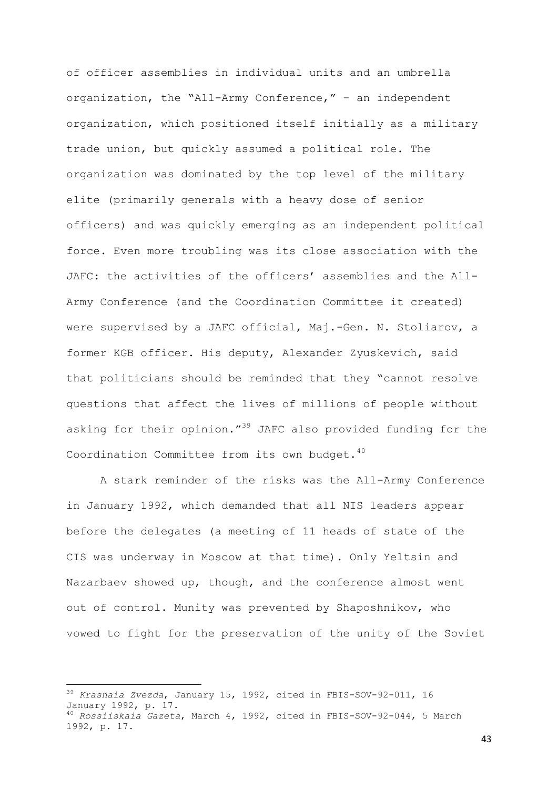of officer assemblies in individual units and an umbrella organization, the "All-Army Conference," – an independent organization, which positioned itself initially as a military trade union, but quickly assumed a political role. The organization was dominated by the top level of the military elite (primarily generals with a heavy dose of senior officers) and was quickly emerging as an independent political force. Even more troubling was its close association with the JAFC: the activities of the officers' assemblies and the All-Army Conference (and the Coordination Committee it created) were supervised by a JAFC official, Maj.-Gen. N. Stoliarov, a former KGB officer. His deputy, Alexander Zyuskevich, said that politicians should be reminded that they "cannot resolve questions that affect the lives of millions of people without asking for their opinion."<sup>39</sup> JAFC also provided funding for the Coordination Committee from its own budget.<sup>40</sup>

A stark reminder of the risks was the All-Army Conference in January 1992, which demanded that all NIS leaders appear before the delegates (a meeting of 11 heads of state of the CIS was underway in Moscow at that time). Only Yeltsin and Nazarbaev showed up, though, and the conference almost went out of control. Munity was prevented by Shaposhnikov, who vowed to fight for the preservation of the unity of the Soviet

-

<sup>39</sup> *Krasnaia Zvezda*, January 15, 1992, cited in FBIS-SOV-92-011, 16 January 1992, p. 17. <sup>40</sup> *Rossiiskaia Gazeta*, March 4, 1992, cited in FBIS-SOV-92-044, 5 March 1992, p. 17.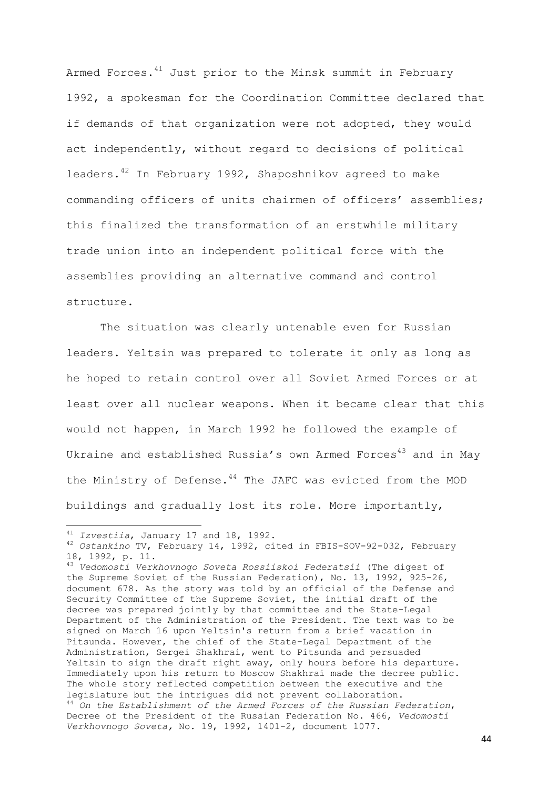Armed Forces. $41$  Just prior to the Minsk summit in February 1992, a spokesman for the Coordination Committee declared that if demands of that organization were not adopted, they would act independently, without regard to decisions of political leaders.<sup>42</sup> In February 1992, Shaposhnikov agreed to make commanding officers of units chairmen of officers' assemblies; this finalized the transformation of an erstwhile military trade union into an independent political force with the assemblies providing an alternative command and control structure.

The situation was clearly untenable even for Russian leaders. Yeltsin was prepared to tolerate it only as long as he hoped to retain control over all Soviet Armed Forces or at least over all nuclear weapons. When it became clear that this would not happen, in March 1992 he followed the example of Ukraine and established Russia's own Armed Forces<sup>43</sup> and in May the Ministry of Defense. $44$  The JAFC was evicted from the MOD buildings and gradually lost its role. More importantly,

<sup>41</sup> *Izvestiia*, January 17 and 18, 1992.

<sup>42</sup> *Ostankino* TV, February 14, 1992, cited in FBIS-SOV-92-032, February 18, 1992, p. 11.

<sup>43</sup> *Vedomosti Verkhovnogo Soveta Rossiiskoi Federatsii* (The digest of the Supreme Soviet of the Russian Federation), No. 13, 1992, 925-26, document 678. As the story was told by an official of the Defense and Security Committee of the Supreme Soviet, the initial draft of the decree was prepared jointly by that committee and the State-Legal Department of the Administration of the President. The text was to be signed on March 16 upon Yeltsin's return from a brief vacation in Pitsunda. However, the chief of the State-Legal Department of the Administration, Sergei Shakhrai, went to Pitsunda and persuaded Yeltsin to sign the draft right away, only hours before his departure. Immediately upon his return to Moscow Shakhrai made the decree public. The whole story reflected competition between the executive and the legislature but the intrigues did not prevent collaboration. <sup>44</sup> *On the Establishment of the Armed Forces of the Russian Federation*, Decree of the President of the Russian Federation No. 466, *Vedomosti Verkhovnogo Soveta,* No. 19, 1992, 1401-2, document 1077.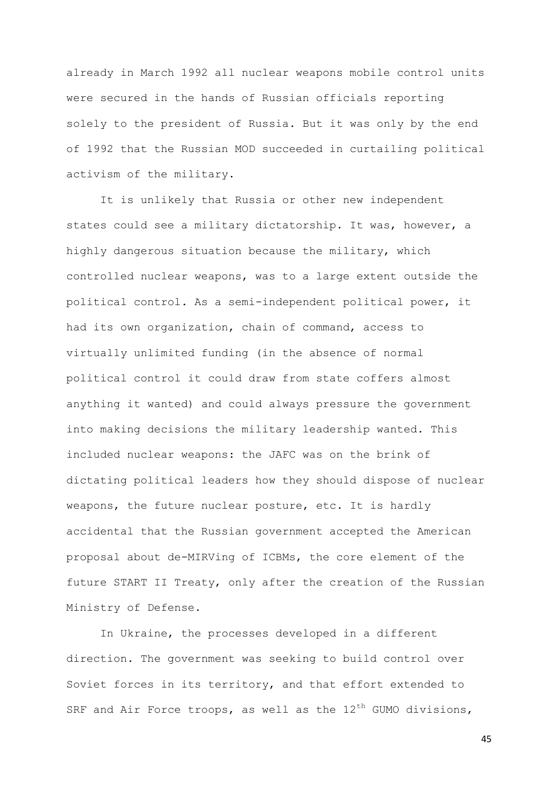already in March 1992 all nuclear weapons mobile control units were secured in the hands of Russian officials reporting solely to the president of Russia. But it was only by the end of 1992 that the Russian MOD succeeded in curtailing political activism of the military.

It is unlikely that Russia or other new independent states could see a military dictatorship. It was, however, a highly dangerous situation because the military, which controlled nuclear weapons, was to a large extent outside the political control. As a semi-independent political power, it had its own organization, chain of command, access to virtually unlimited funding (in the absence of normal political control it could draw from state coffers almost anything it wanted) and could always pressure the government into making decisions the military leadership wanted. This included nuclear weapons: the JAFC was on the brink of dictating political leaders how they should dispose of nuclear weapons, the future nuclear posture, etc. It is hardly accidental that the Russian government accepted the American proposal about de-MIRVing of ICBMs, the core element of the future START II Treaty, only after the creation of the Russian Ministry of Defense.

In Ukraine, the processes developed in a different direction. The government was seeking to build control over Soviet forces in its territory, and that effort extended to SRF and Air Force troops, as well as the  $12<sup>th</sup>$  GUMO divisions,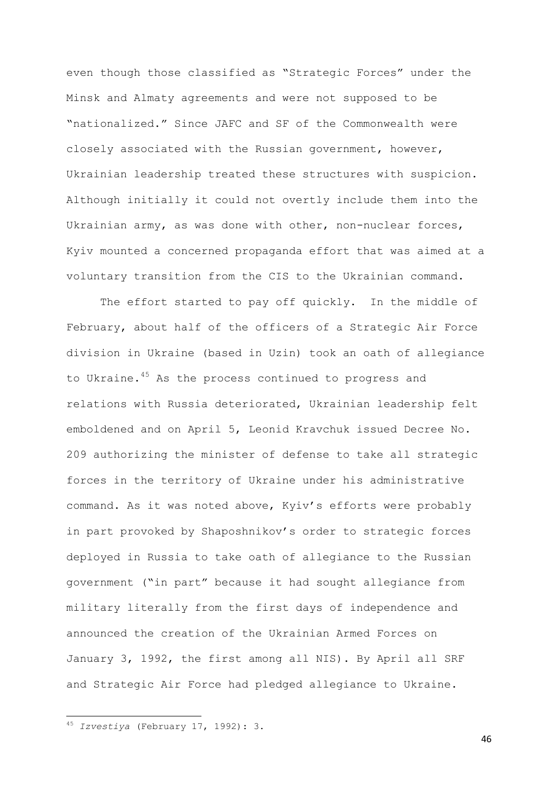even though those classified as "Strategic Forces" under the Minsk and Almaty agreements and were not supposed to be "nationalized." Since JAFC and SF of the Commonwealth were closely associated with the Russian government, however, Ukrainian leadership treated these structures with suspicion. Although initially it could not overtly include them into the Ukrainian army, as was done with other, non-nuclear forces, Kyiv mounted a concerned propaganda effort that was aimed at a voluntary transition from the CIS to the Ukrainian command.

The effort started to pay off quickly. In the middle of February, about half of the officers of a Strategic Air Force division in Ukraine (based in Uzin) took an oath of allegiance to Ukraine.<sup>45</sup> As the process continued to progress and relations with Russia deteriorated, Ukrainian leadership felt emboldened and on April 5, Leonid Kravchuk issued Decree No. 209 authorizing the minister of defense to take all strategic forces in the territory of Ukraine under his administrative command. As it was noted above, Kyiv's efforts were probably in part provoked by Shaposhnikov's order to strategic forces deployed in Russia to take oath of allegiance to the Russian government ("in part" because it had sought allegiance from military literally from the first days of independence and announced the creation of the Ukrainian Armed Forces on January 3, 1992, the first among all NIS). By April all SRF and Strategic Air Force had pledged allegiance to Ukraine.

**.** 

<sup>45</sup> *Izvestiya* (February 17, 1992): 3.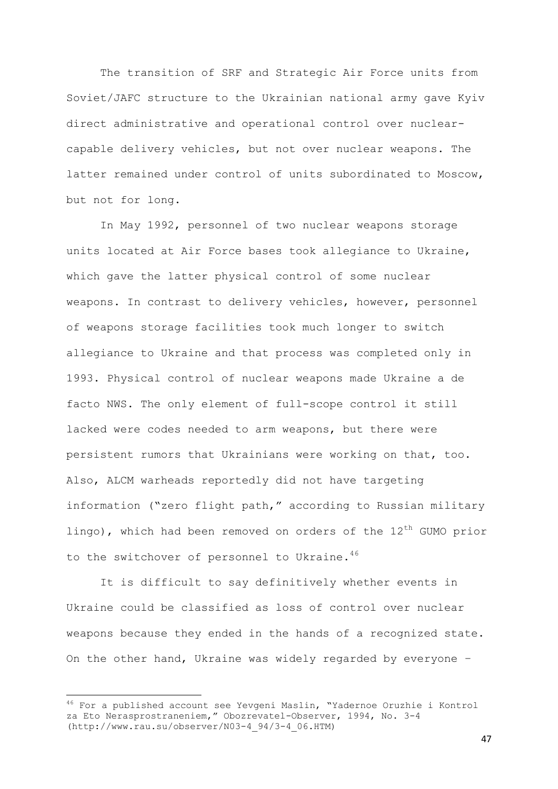The transition of SRF and Strategic Air Force units from Soviet/JAFC structure to the Ukrainian national army gave Kyiv direct administrative and operational control over nuclearcapable delivery vehicles, but not over nuclear weapons. The latter remained under control of units subordinated to Moscow, but not for long.

In May 1992, personnel of two nuclear weapons storage units located at Air Force bases took allegiance to Ukraine, which gave the latter physical control of some nuclear weapons. In contrast to delivery vehicles, however, personnel of weapons storage facilities took much longer to switch allegiance to Ukraine and that process was completed only in 1993. Physical control of nuclear weapons made Ukraine a de facto NWS. The only element of full-scope control it still lacked were codes needed to arm weapons, but there were persistent rumors that Ukrainians were working on that, too. Also, ALCM warheads reportedly did not have targeting information ("zero flight path," according to Russian military lingo), which had been removed on orders of the  $12<sup>th</sup>$  GUMO prior to the switchover of personnel to Ukraine. $46$ 

It is difficult to say definitively whether events in Ukraine could be classified as loss of control over nuclear weapons because they ended in the hands of a recognized state. On the other hand, Ukraine was widely regarded by everyone –

**.** 

<sup>46</sup> For a published account see Yevgeni Maslin, "Yadernoe Oruzhie i Kontrol za Eto Nerasprostraneniem," Obozrevatel-Observer, 1994, No. 3-4 (http://www.rau.su/observer/N03-4\_94/3-4\_06.HTM)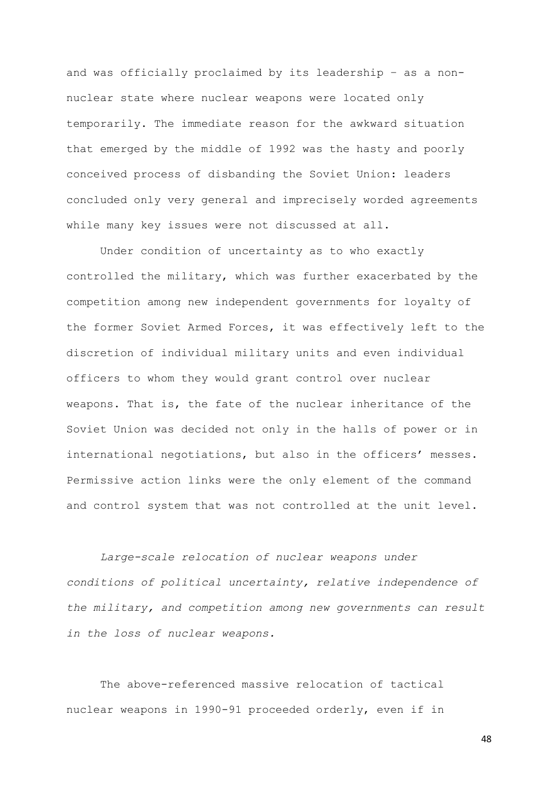and was officially proclaimed by its leadership – as a nonnuclear state where nuclear weapons were located only temporarily. The immediate reason for the awkward situation that emerged by the middle of 1992 was the hasty and poorly conceived process of disbanding the Soviet Union: leaders concluded only very general and imprecisely worded agreements while many key issues were not discussed at all.

Under condition of uncertainty as to who exactly controlled the military, which was further exacerbated by the competition among new independent governments for loyalty of the former Soviet Armed Forces, it was effectively left to the discretion of individual military units and even individual officers to whom they would grant control over nuclear weapons. That is, the fate of the nuclear inheritance of the Soviet Union was decided not only in the halls of power or in international negotiations, but also in the officers' messes. Permissive action links were the only element of the command and control system that was not controlled at the unit level.

*Large-scale relocation of nuclear weapons under conditions of political uncertainty, relative independence of the military, and competition among new governments can result in the loss of nuclear weapons.* 

The above-referenced massive relocation of tactical nuclear weapons in 1990-91 proceeded orderly, even if in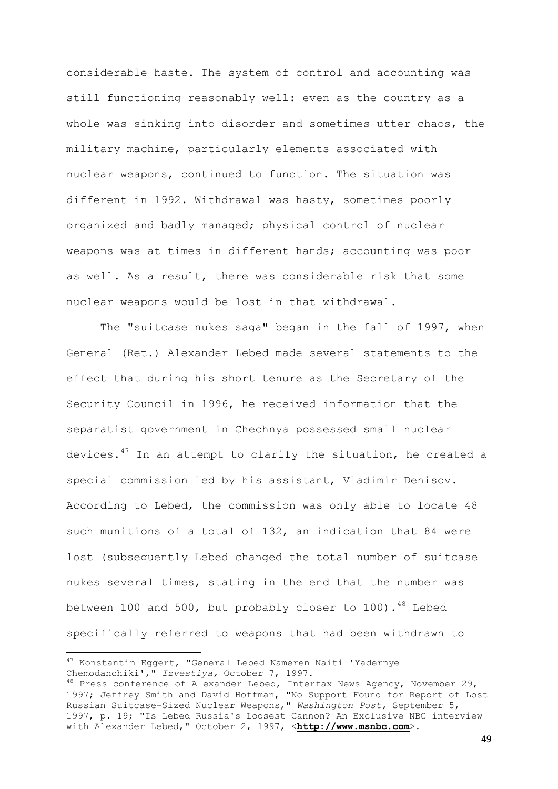considerable haste. The system of control and accounting was still functioning reasonably well: even as the country as a whole was sinking into disorder and sometimes utter chaos, the military machine, particularly elements associated with nuclear weapons, continued to function. The situation was different in 1992. Withdrawal was hasty, sometimes poorly organized and badly managed; physical control of nuclear weapons was at times in different hands; accounting was poor as well. As a result, there was considerable risk that some nuclear weapons would be lost in that withdrawal.

The "suitcase nukes saga" began in the fall of 1997, when General (Ret.) Alexander Lebed made several statements to the effect that during his short tenure as the Secretary of the Security Council in 1996, he received information that the separatist government in Chechnya possessed small nuclear devices. $47$  In an attempt to clarify the situation, he created a special commission led by his assistant, Vladimir Denisov. According to Lebed, the commission was only able to locate 48 such munitions of a total of 132, an indication that 84 were lost (subsequently Lebed changed the total number of suitcase nukes several times, stating in the end that the number was between 100 and 500, but probably closer to 100). $48$  Lebed specifically referred to weapons that had been withdrawn to

**.** 

<sup>&</sup>lt;sup>47</sup> Konstantin Eggert, "General Lebed Nameren Naiti 'Yadernye Chemodanchiki'," *Izvestiya,* October 7, 1997.

 $^{48}$  Press conference of Alexander Lebed, Interfax News Agency, November 29, 1997; Jeffrey Smith and David Hoffman, "No Support Found for Report of Lost Russian Suitcase-Sized Nuclear Weapons," *Washington Post,* September 5, 1997, p. 19; "Is Lebed Russia's Loosest Cannon? An Exclusive NBC interview with Alexander Lebed," October 2, 1997, <**[http://www.msnbc.com](http://www.msnbc.com/)**>.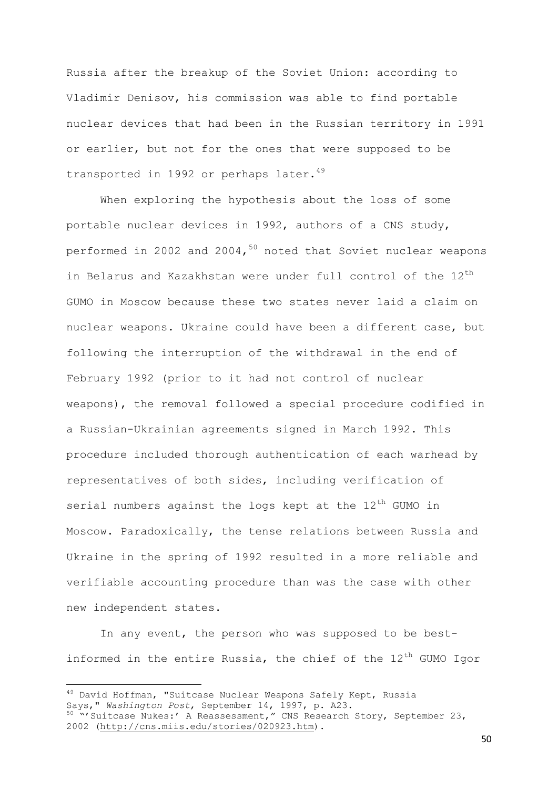Russia after the breakup of the Soviet Union: according to Vladimir Denisov, his commission was able to find portable nuclear devices that had been in the Russian territory in 1991 or earlier, but not for the ones that were supposed to be transported in 1992 or perhaps later.<sup>49</sup>

When exploring the hypothesis about the loss of some portable nuclear devices in 1992, authors of a CNS study, performed in 2002 and 2004,<sup>50</sup> noted that Soviet nuclear weapons in Belarus and Kazakhstan were under full control of the  $12<sup>th</sup>$ GUMO in Moscow because these two states never laid a claim on nuclear weapons. Ukraine could have been a different case, but following the interruption of the withdrawal in the end of February 1992 (prior to it had not control of nuclear weapons), the removal followed a special procedure codified in a Russian-Ukrainian agreements signed in March 1992. This procedure included thorough authentication of each warhead by representatives of both sides, including verification of serial numbers against the logs kept at the  $12<sup>th</sup>$  GUMO in Moscow. Paradoxically, the tense relations between Russia and Ukraine in the spring of 1992 resulted in a more reliable and verifiable accounting procedure than was the case with other new independent states.

In any event, the person who was supposed to be bestinformed in the entire Russia, the chief of the  $12<sup>th</sup>$  GUMO Igor

-

<sup>&</sup>lt;sup>49</sup> David Hoffman, "Suitcase Nuclear Weapons Safely Kept, Russia Says," *Washington Post*, September 14, 1997, p. A23. <sup>50</sup> "'Suitcase Nukes:' A Reassessment," CNS Research Story, September 23, 2002 [\(http://cns.miis.edu/stories/020923.htm\)](http://cns.miis.edu/stories/020923.htm).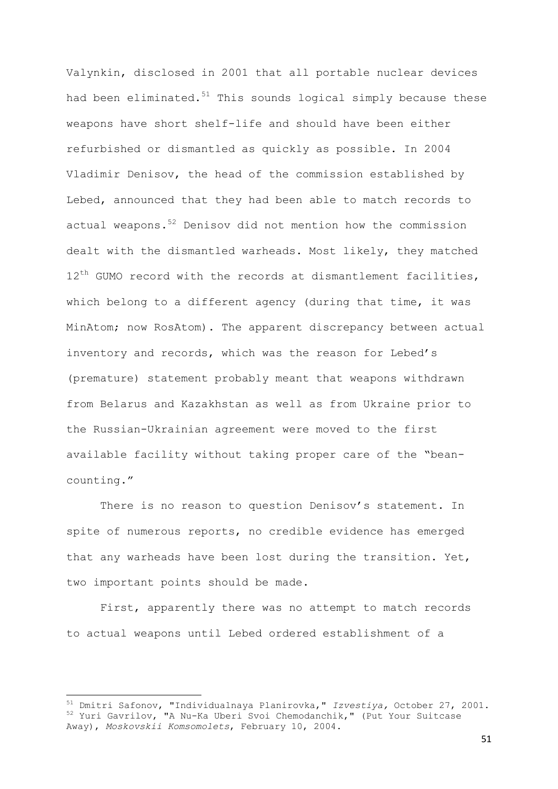Valynkin, disclosed in 2001 that all portable nuclear devices had been eliminated. $51$  This sounds logical simply because these weapons have short shelf-life and should have been either refurbished or dismantled as quickly as possible. In 2004 Vladimir Denisov, the head of the commission established by Lebed, announced that they had been able to match records to actual weapons. <sup>52</sup> Denisov did not mention how the commission dealt with the dismantled warheads. Most likely, they matched  $12<sup>th</sup>$  GUMO record with the records at dismantlement facilities, which belong to a different agency (during that time, it was MinAtom; now RosAtom). The apparent discrepancy between actual inventory and records, which was the reason for Lebed's (premature) statement probably meant that weapons withdrawn from Belarus and Kazakhstan as well as from Ukraine prior to the Russian-Ukrainian agreement were moved to the first available facility without taking proper care of the "beancounting."

There is no reason to question Denisov's statement. In spite of numerous reports, no credible evidence has emerged that any warheads have been lost during the transition. Yet, two important points should be made.

First, apparently there was no attempt to match records to actual weapons until Lebed ordered establishment of a

**.** 

<sup>51</sup> Dmitri Safonov, "Individualnaya Planirovka," *Izvestiya,* October 27, 2001. <sup>52</sup> Yuri Gavrilov, "A Nu-Ka Uberi Svoi Chemodanchik," (Put Your Suitcase Away), *Moskovskii Komsomolets*, February 10, 2004.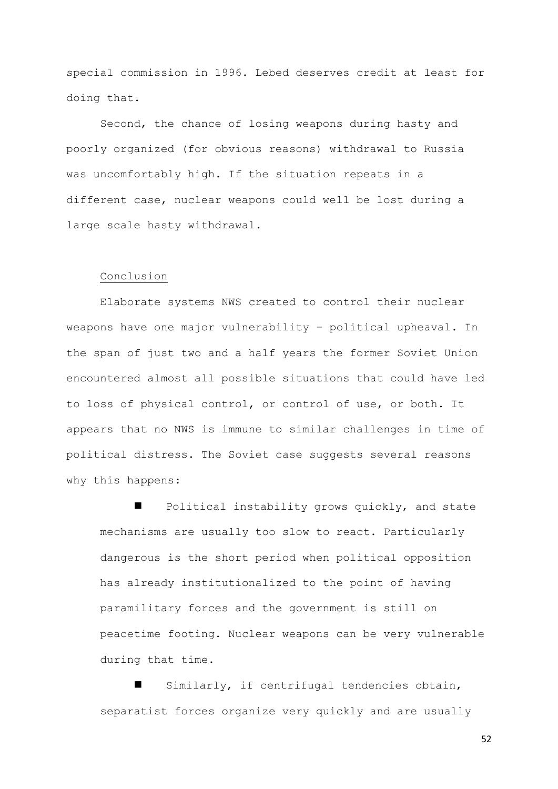special commission in 1996. Lebed deserves credit at least for doing that.

Second, the chance of losing weapons during hasty and poorly organized (for obvious reasons) withdrawal to Russia was uncomfortably high. If the situation repeats in a different case, nuclear weapons could well be lost during a large scale hasty withdrawal.

## Conclusion

Elaborate systems NWS created to control their nuclear weapons have one major vulnerability – political upheaval. In the span of just two and a half years the former Soviet Union encountered almost all possible situations that could have led to loss of physical control, or control of use, or both. It appears that no NWS is immune to similar challenges in time of political distress. The Soviet case suggests several reasons why this happens:

 Political instability grows quickly, and state mechanisms are usually too slow to react. Particularly dangerous is the short period when political opposition has already institutionalized to the point of having paramilitary forces and the government is still on peacetime footing. Nuclear weapons can be very vulnerable during that time.

 Similarly, if centrifugal tendencies obtain, separatist forces organize very quickly and are usually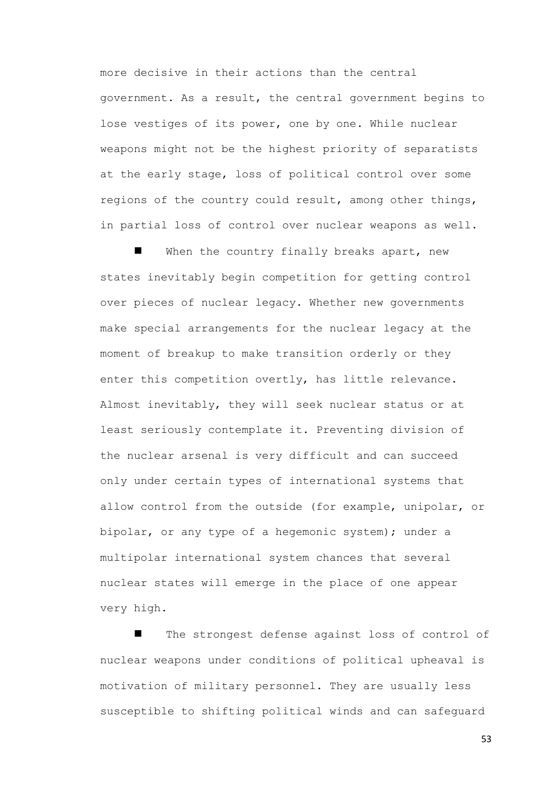more decisive in their actions than the central government. As a result, the central government begins to lose vestiges of its power, one by one. While nuclear weapons might not be the highest priority of separatists at the early stage, loss of political control over some regions of the country could result, among other things, in partial loss of control over nuclear weapons as well.

When the country finally breaks apart, new states inevitably begin competition for getting control over pieces of nuclear legacy. Whether new governments make special arrangements for the nuclear legacy at the moment of breakup to make transition orderly or they enter this competition overtly, has little relevance. Almost inevitably, they will seek nuclear status or at least seriously contemplate it. Preventing division of the nuclear arsenal is very difficult and can succeed only under certain types of international systems that allow control from the outside (for example, unipolar, or bipolar, or any type of a hegemonic system); under a multipolar international system chances that several nuclear states will emerge in the place of one appear very high.

 The strongest defense against loss of control of nuclear weapons under conditions of political upheaval is motivation of military personnel. They are usually less susceptible to shifting political winds and can safeguard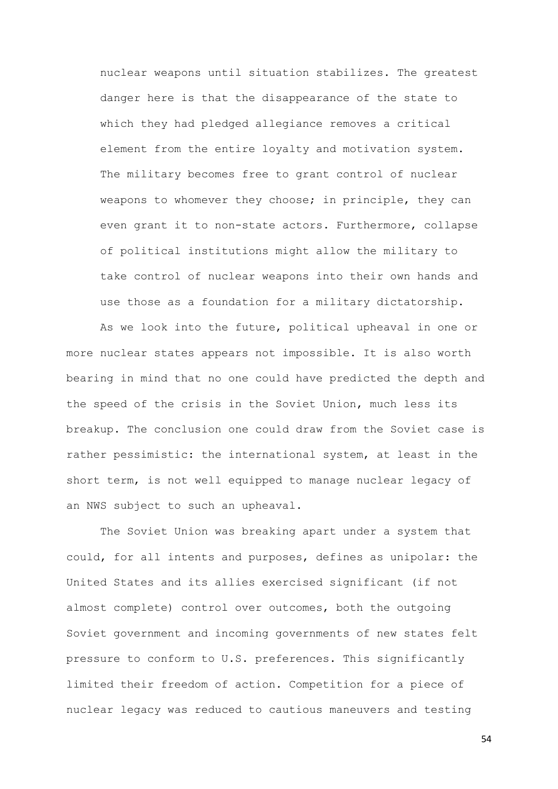nuclear weapons until situation stabilizes. The greatest danger here is that the disappearance of the state to which they had pledged allegiance removes a critical element from the entire loyalty and motivation system. The military becomes free to grant control of nuclear weapons to whomever they choose; in principle, they can even grant it to non-state actors. Furthermore, collapse of political institutions might allow the military to take control of nuclear weapons into their own hands and use those as a foundation for a military dictatorship.

As we look into the future, political upheaval in one or more nuclear states appears not impossible. It is also worth bearing in mind that no one could have predicted the depth and the speed of the crisis in the Soviet Union, much less its breakup. The conclusion one could draw from the Soviet case is rather pessimistic: the international system, at least in the short term, is not well equipped to manage nuclear legacy of an NWS subject to such an upheaval.

The Soviet Union was breaking apart under a system that could, for all intents and purposes, defines as unipolar: the United States and its allies exercised significant (if not almost complete) control over outcomes, both the outgoing Soviet government and incoming governments of new states felt pressure to conform to U.S. preferences. This significantly limited their freedom of action. Competition for a piece of nuclear legacy was reduced to cautious maneuvers and testing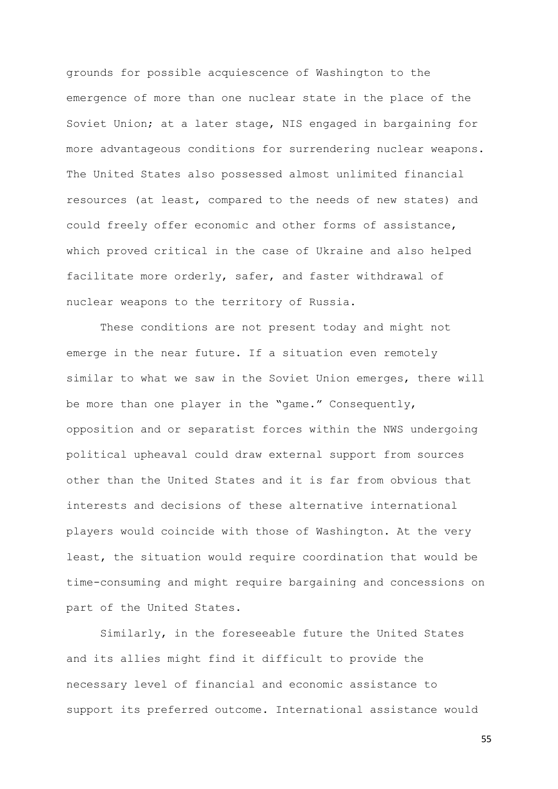grounds for possible acquiescence of Washington to the emergence of more than one nuclear state in the place of the Soviet Union; at a later stage, NIS engaged in bargaining for more advantageous conditions for surrendering nuclear weapons. The United States also possessed almost unlimited financial resources (at least, compared to the needs of new states) and could freely offer economic and other forms of assistance, which proved critical in the case of Ukraine and also helped facilitate more orderly, safer, and faster withdrawal of nuclear weapons to the territory of Russia.

These conditions are not present today and might not emerge in the near future. If a situation even remotely similar to what we saw in the Soviet Union emerges, there will be more than one player in the "game." Consequently, opposition and or separatist forces within the NWS undergoing political upheaval could draw external support from sources other than the United States and it is far from obvious that interests and decisions of these alternative international players would coincide with those of Washington. At the very least, the situation would require coordination that would be time-consuming and might require bargaining and concessions on part of the United States.

Similarly, in the foreseeable future the United States and its allies might find it difficult to provide the necessary level of financial and economic assistance to support its preferred outcome. International assistance would